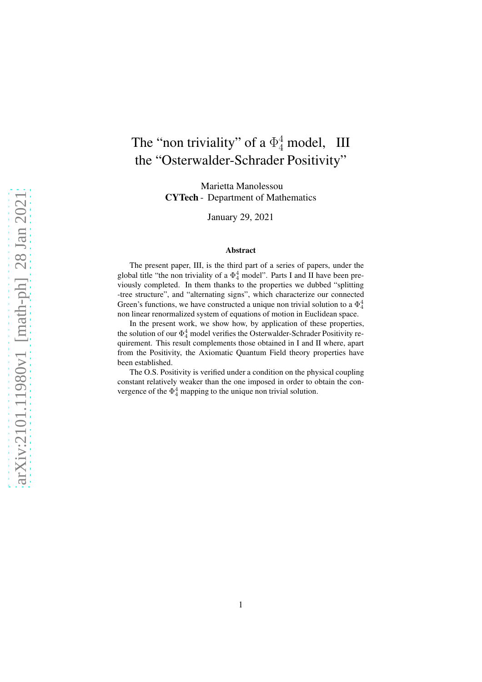# The "non triviality" of a  $\Phi_4^4$  model, III the "Osterwalder-Schrader Positivity"

Marietta Manolessou CYTech - Department of Mathematics

January 29, 2021

#### Abstract

The present paper, III, is the third part of a series of papers, under the global title "the non triviality of a  $\Phi_4^4$  model". Parts I and II have been previously completed. In them thanks to the properties we dubbed "splitting -tree structure", and "alternating signs", which characterize our connected Green's functions, we have constructed a unique non trivial solution to a  $\Phi_4^4$ non linear renormalized system of equations of motion in Euclidean space.

In the present work, we show how, by application of these properties, the solution of our  $\Phi_4^4$  model verifies the Osterwalder-Schrader Positivity requirement. This result complements those obtained in I and II where, apart from the Positivity, the Axiomatic Quantum Field theory properties have been established.

The O.S. Positivity is verified under a condition on the physical coupling constant relatively weaker than the one imposed in order to obtain the convergence of the  $\Phi_4^4$  mapping to the unique non trivial solution.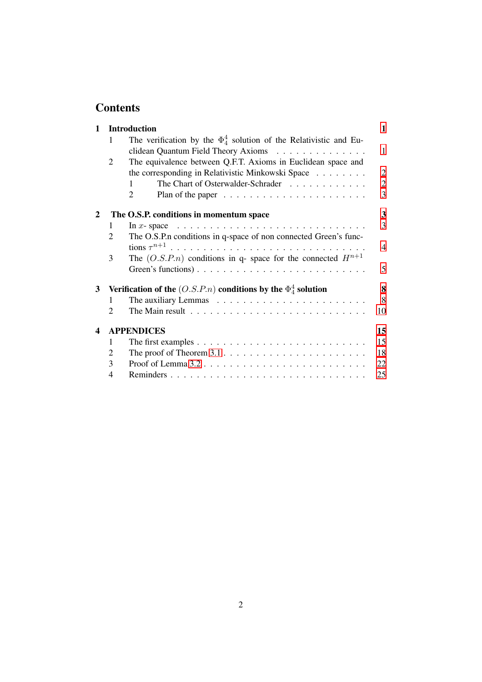# **Contents**

| $\mathbf{1}$            |                             | <b>Introduction</b><br>1                                                                  |                          |  |  |
|-------------------------|-----------------------------|-------------------------------------------------------------------------------------------|--------------------------|--|--|
|                         | 1                           | The verification by the $\Phi_4^4$ solution of the Relativistic and Eu-                   |                          |  |  |
|                         |                             | clidean Quantum Field Theory Axioms                                                       | $\mathbf{1}$             |  |  |
|                         | $\overline{2}$              | The equivalence between Q.F.T. Axioms in Euclidean space and                              |                          |  |  |
|                         |                             | the corresponding in Relativistic Minkowski Space                                         | $\overline{2}$           |  |  |
|                         |                             | The Chart of Osterwalder-Schrader<br>$\mathbf{1}$                                         | $\overline{2}$           |  |  |
|                         |                             | $\overline{2}$                                                                            | 3                        |  |  |
| 2                       |                             | The O.S.P. conditions in momentum space                                                   | 3                        |  |  |
|                         | 1                           | In x-space $\ldots \ldots \ldots \ldots \ldots \ldots \ldots \ldots \ldots \ldots \ldots$ | 3                        |  |  |
|                         | $\overline{2}$              | The O.S.P.n conditions in q-space of non connected Green's func-                          |                          |  |  |
|                         |                             |                                                                                           | $\overline{\mathcal{A}}$ |  |  |
|                         | 3                           | The $(O.S.P.n)$ conditions in q- space for the connected $H^{n+1}$                        |                          |  |  |
|                         |                             |                                                                                           | 5                        |  |  |
| 3                       |                             | Verification of the $(O.S.P.n)$ conditions by the $\Phi_4^4$ solution<br>8                |                          |  |  |
|                         | 1                           |                                                                                           | 8                        |  |  |
|                         | $\mathcal{D}_{\mathcal{L}}$ | The Main result $\ldots \ldots \ldots \ldots \ldots \ldots \ldots \ldots \ldots$          | 10                       |  |  |
| $\overline{\mathbf{4}}$ | <b>APPENDICES</b><br>15     |                                                                                           |                          |  |  |
|                         | 1                           |                                                                                           | 15                       |  |  |
|                         | 2                           | The proof of Theorem $3.1 \ldots \ldots \ldots \ldots \ldots \ldots \ldots \ldots$        | 18                       |  |  |
|                         | 3                           |                                                                                           | 22                       |  |  |
|                         | 4                           |                                                                                           | 25                       |  |  |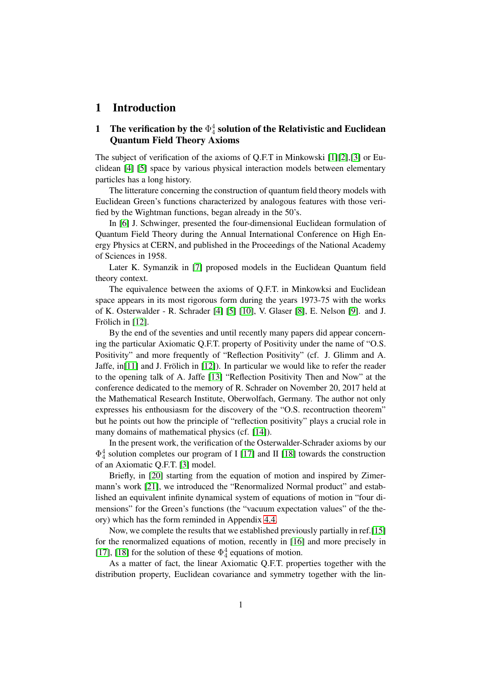# <span id="page-2-1"></span><span id="page-2-0"></span>1 Introduction

# 1 The verification by the  $\Phi_4^4$  solution of the Relativistic and Euclidean Quantum Field Theory Axioms

The subject of verification of the axioms of Q.F.T in Minkowski [\[1\]](#page-13-0)[\[2\]](#page-13-1),[3] or Euclidean [\[4\]](#page-13-2) [\[5\]](#page-13-3) space by various physical interaction models between elementary particles has a long history.

The litterature concerning the construction of quantum field theory models with Euclidean Green's functions characterized by analogous features with those verified by the Wightman functions, began already in the 50's.

In [\[6\]](#page-13-4) J. Schwinger, presented the four-dimensional Euclidean formulation of Quantum Field Theory during the Annual International Conference on High Energy Physics at CERN, and published in the Proceedings of the National Academy of Sciences in 1958.

Later K. Symanzik in [7] proposed models in the Euclidean Quantum field theory context.

The equivalence between the axioms of Q.F.T. in Minkowksi and Euclidean space appears in its most rigorous form during the years 1973-75 with the works of K. Osterwalder - R. Schrader [\[4\]](#page-13-2) [\[5\]](#page-13-3) [\[10\]](#page-14-0), V. Glaser [\[8\]](#page-13-5), E. Nelson [\[9\]](#page-13-6). and J. Frölich in  $[12]$ .

By the end of the seventies and until recently many papers did appear concerning the particular Axiomatic Q.F.T. property of Positivity under the name of "O.S. Positivity" and more frequently of "Reflection Positivity" (cf. J. Glimm and A. Jaffe, in [\[11\]](#page-14-2) and J. Frölich in [\[12\]](#page-14-1)). In particular we would like to refer the reader to the opening talk of A. Jaffe [\[13\]](#page-14-3) "Reflection Positivity Then and Now" at the conference dedicated to the memory of R. Schrader on November 20, 2017 held at the Mathematical Research Institute, Oberwolfach, Germany. The author not only expresses his enthousiasm for the discovery of the "O.S. recontruction theorem" but he points out how the principle of "reflection positivity" plays a crucial role in many domains of mathematical physics (cf. [\[14\]](#page-14-4)).

In the present work, the verification of the Osterwalder-Schrader axioms by our  $\Phi_4^4$  solution completes our program of I [\[17\]](#page-14-5) and II [\[18\]](#page-14-6) towards the construction of an Axiomatic Q.F.T. [3] model.

Briefly, in [\[20\]](#page-15-0) starting from the equation of motion and inspired by Zimermann's work [\[21\]](#page-15-1), we introduced the "Renormalized Normal product" and established an equivalent infinite dynamical system of equations of motion in "four dimensions" for the Green's functions (the "vacuum expectation values" of the theory) which has the form reminded in Appendix [4.4.](#page-26-1)

Now, we complete the results that we established previously partially in ref.[\[15\]](#page-14-7) for the renormalized equations of motion, recently in [\[16\]](#page-14-8) and more precisely in [\[17\]](#page-14-5), [\[18\]](#page-14-6) for the solution of these  $\Phi_4^4$  equations of motion.

As a matter of fact, the linear Axiomatic Q.F.T. properties together with the distribution property, Euclidean covariance and symmetry together with the lin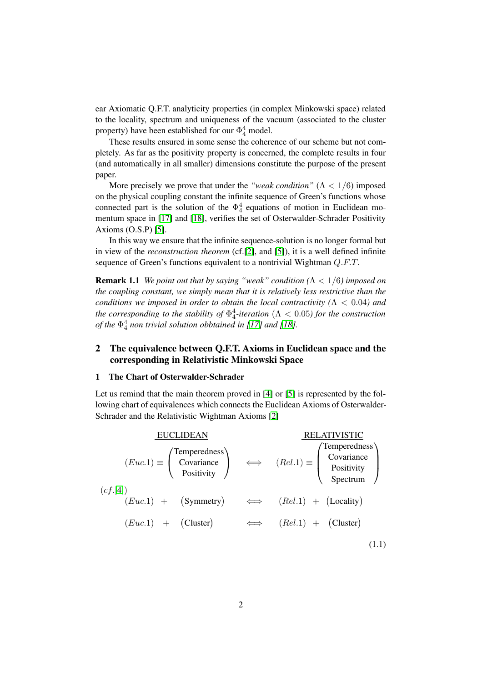ear Axiomatic Q.F.T. analyticity properties (in complex Minkowski space) related to the locality, spectrum and uniqueness of the vacuum (associated to the cluster property) have been established for our  $\Phi_4^4$  model.

These results ensured in some sense the coherence of our scheme but not completely. As far as the positivity property is concerned, the complete results in four (and automatically in all smaller) dimensions constitute the purpose of the present paper.

More precisely we prove that under the *"weak condition"*  $(\Lambda < 1/6)$  imposed on the physical coupling constant the infinite sequence of Green's functions whose connected part is the solution of the  $\Phi_4^4$  equations of motion in Euclidean momentum space in [\[17\]](#page-14-5) and [\[18\]](#page-14-6), verifies the set of Osterwalder-Schrader Positivity Axioms (O.S.P) [\[5\]](#page-13-3).

<span id="page-3-2"></span>In this way we ensure that the infinite sequence-solution is no longer formal but in view of the *reconstruction theorem* (cf.[\[2\]](#page-13-1), and [\[5\]](#page-13-3)), it is a well defined infinite sequence of Green's functions equivalent to a nontrivial Wightman Q.F.T.

Remark 1.1 *We point out that by saying "weak" condition (*Λ < 1/6*) imposed on the coupling constant, we simply mean that it is relatively less restrictive than the conditions we imposed in order to obtain the local contractivity (*Λ < 0.04*) and the corresponding to the stability of*  $\Phi_4^4$ -*iteration* ( $\Lambda < 0.05$ ) for the construction *of the* Φ 4 4 *non trivial solution obbtained in [\[17\]](#page-14-5) and [\[18\]](#page-14-6).*

# <span id="page-3-0"></span>2 The equivalence between Q.F.T. Axioms in Euclidean space and the corresponding in Relativistic Minkowski Space

#### <span id="page-3-1"></span>1 The Chart of Osterwalder-Schrader

Let us remind that the main theorem proved in [\[4\]](#page-13-2) or [\[5\]](#page-13-3) is represented by the following chart of equivalences which connects the Euclidean Axioms of Osterwalder-Schrader and the Relativistic Wightman Axioms [\[2\]](#page-13-1)

| <b>EUCLIDEAN</b>                                                                                                                                                                                                                          | <b>RELATIVISTIC</b> |  |
|-------------------------------------------------------------------------------------------------------------------------------------------------------------------------------------------------------------------------------------------|---------------------|--|
| $(Euc.1) \equiv \begin{pmatrix} \text{Temperature} \\ \text{Covariance} \\ \text{Positive} \end{pmatrix} \iff (Rel.1) \equiv \begin{pmatrix} \text{Temperature} \\ \text{Covariance} \\ \text{Positive} \\ \text{Spectrum} \end{pmatrix}$ |                     |  |
| (cf. [4])<br>$(Euc.1) + (Symmetry) \qquad \Longleftrightarrow \qquad (Rel.1) + (Locality)$                                                                                                                                                |                     |  |
| $(Euc.1) +$ (Cluster) $\Leftrightarrow$ $(Rel.1) +$ (Cluster)                                                                                                                                                                             |                     |  |
|                                                                                                                                                                                                                                           |                     |  |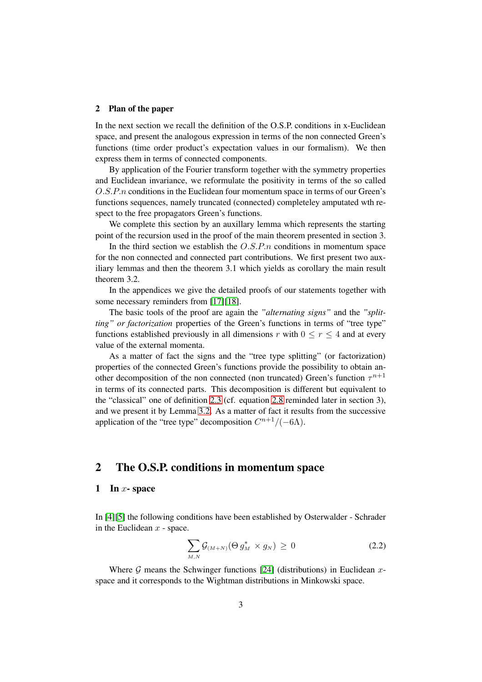#### <span id="page-4-0"></span>2 Plan of the paper

In the next section we recall the definition of the O.S.P. conditions in x-Euclidean space, and present the analogous expression in terms of the non connected Green's functions (time order product's expectation values in our formalism). We then express them in terms of connected components.

By application of the Fourier transform together with the symmetry properties and Euclidean invariance, we reformulate the positivity in terms of the so called O.S.P.n conditions in the Euclidean four momentum space in terms of our Green's functions sequences, namely truncated (connected) completeley amputated wth respect to the free propagators Green's functions.

We complete this section by an auxillary lemma which represents the starting point of the recursion used in the proof of the main theorem presented in section 3.

In the third section we establish the  $O.S.P.n$  conditions in momentum space for the non connected and connected part contributions. We first present two auxiliary lemmas and then the theorem 3.1 which yields as corollary the main result theorem 3.2.

In the appendices we give the detailed proofs of our statements together with some necessary reminders from [\[17\]](#page-14-5)[\[18\]](#page-14-6).

The basic tools of the proof are again the *"alternating signs"* and the *"splitting" or factorization* properties of the Green's functions in terms of "tree type" functions established previously in all dimensions r with  $0 \le r \le 4$  and at every value of the external momenta.

As a matter of fact the signs and the "tree type splitting" (or factorization) properties of the connected Green's functions provide the possibility to obtain another decomposition of the non connected (non truncated) Green's function  $\tau^{n+1}$ in terms of its connected parts. This decomposition is different but equivalent to the "classical" one of definition [2.3](#page-7-0) (cf. equation [2.8](#page-7-1) reminded later in section 3), and we present it by Lemma [3.2.](#page-10-0) As a matter of fact it results from the successive application of the "tree type" decomposition  $C^{n+1}/(-6\Lambda)$ .

# <span id="page-4-1"></span>2 The O.S.P. conditions in momentum space

#### <span id="page-4-2"></span>1 In  $x$ - space

In [\[4\]](#page-13-2)[\[5\]](#page-13-3) the following conditions have been established by Osterwalder - Schrader in the Euclidean  $x$  - space.

<span id="page-4-3"></span>
$$
\sum_{M,N} \mathcal{G}_{(M+N)}(\Theta g_M^* \times g_N) \ge 0 \tag{2.2}
$$

Where  $G$  means the Schwinger functions [\[24\]](#page-15-2) (distributions) in Euclidean xspace and it corresponds to the Wightman distributions in Minkowski space.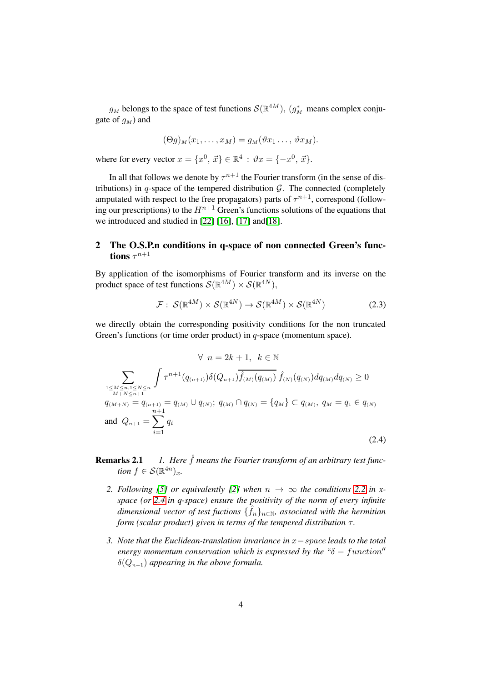$g_M$  belongs to the space of test functions  $\mathcal{S}(\mathbb{R}^{4M})$ ,  $(g_M^*)$  means complex conjugate of  $q_M$ ) and

$$
(\Theta g)_M(x_1,\ldots,x_M)=g_M(\vartheta x_1\ldots,\vartheta x_M).
$$

where for every vector  $x = \{x^0, \vec{x}\} \in \mathbb{R}^4 : \vartheta x = \{-x^0, \vec{x}\}.$ 

In all that follows we denote by  $\tau^{n+1}$  the Fourier transform (in the sense of distributions) in q-space of the tempered distribution  $G$ . The connected (completely amputated with respect to the free propagators) parts of  $\tau^{n+1}$ , correspond (following our prescriptions) to the  $H^{n+1}$  Green's functions solutions of the equations that we introduced and studied in [\[22\]](#page-15-3) [\[16\]](#page-14-8), [\[17\]](#page-14-5) and[\[18\]](#page-14-6).

# <span id="page-5-0"></span>2 The O.S.P.n conditions in q-space of non connected Green's functions  $\tau^{n+1}$

By application of the isomorphisms of Fourier transform and its inverse on the product space of test functions  $\mathcal{S}(\mathbb{R}^{4M}) \times \mathcal{S}(\mathbb{R}^{4N}),$ 

$$
\mathcal{F}: \mathcal{S}(\mathbb{R}^{4M}) \times \mathcal{S}(\mathbb{R}^{4N}) \to \mathcal{S}(\mathbb{R}^{4M}) \times \mathcal{S}(\mathbb{R}^{4N})
$$
(2.3)

we directly obtain the corresponding positivity conditions for the non truncated Green's functions (or time order product) in q-space (momentum space).

<span id="page-5-1"></span>
$$
\forall n = 2k + 1, k \in \mathbb{N}
$$
  
\n
$$
\sum_{\substack{1 \leq M \leq n, 1 \leq N \leq n \\ M + N \leq n + 1}} \int \tau^{n+1}(q_{(n+1)}) \delta(Q_{n+1}) \overline{\widehat{f}_{(M)}(q_{(M)})} \, \widehat{f}_{(N)}(q_{(N)}) dq_{(M)} dq_{(N)} \geq 0
$$
  
\n
$$
q_{(M+N)} = q_{(n+1)} = q_{(M)} \cup q_{(N)}; q_{(M)} \cap q_{(N)} = \{q_M\} \subset q_{(M)}, q_M = q_1 \in q_{(N)}
$$
  
\nand 
$$
Q_{n+1} = \sum_{i=1}^{n+1} q_i
$$
\n(2.4)

# **Remarks 2.1** *1. Here*  $\hat{f}$  *means the Fourier transform of an arbitrary test function*  $f \in \mathcal{S}(\mathbb{R}^{4n})_x$ .

- 2. Following [\[5\]](#page-13-3) or equivalently [\[2\]](#page-13-1) when  $n \to \infty$  the conditions [2.2](#page-4-3) in x*space (or [2.4](#page-5-1) in q-space) ensure the positivity of the norm of every infinite*  $d$ imensional vector of test fuctions  $\{\hat{f}_n\}_{n\in\mathbb{N}}$ , associated with the hermitian *form (scalar product) given in terms of the tempered distribution*  $τ$ *.*
- *3. Note that the Euclidean-translation invariance in* x−space *leads to the total energy momentum conservation which is expressed by the* " $\delta$  – function"  $\delta(Q_{n+1})$  *appearing in the above formula.*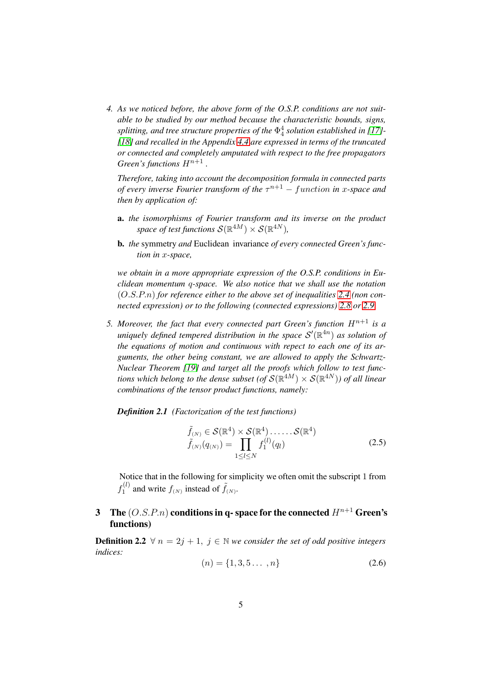*4. As we noticed before, the above form of the O.S.P. conditions are not suitable to be studied by our method because the characteristic bounds, signs, splitting, and tree structure properties of the*  $\Phi^4_4$  *solution established in [\[17\]](#page-14-5)*-*[\[18\]](#page-14-6) and recalled in the Appendix [4.4](#page-26-1) are expressed in terms of the truncated or connected and completely amputated with respect to the free propagators Green's functions*  $H^{n+1}$ .

*Therefore, taking into account the decomposition formula in connected parts of every inverse Fourier transform of the* τ <sup>n</sup>+1 − f unction *in* x*-space and then by application of:*

- a. *the isomorphisms of Fourier transform and its inverse on the product* space of test functions  $\mathcal{S}(\mathbb{R}^{4M})\times \mathcal{S}(\mathbb{R}^{4N}),$
- b. *the* symmetry *and* Euclidean invariance *of every connected Green's function in* x*-space,*

*we obtain in a more appropriate expression of the O.S.P. conditions in Euclidean momentum* q*-space. We also notice that we shall use the notation* (O.S.P.n) *for reference either to the above set of inequalities [2.4](#page-5-1) (non connected expression) or to the following (connected expressions) [2.8](#page-7-1) or [2.9.](#page-7-2)*

*5. Moreover, the fact that every connected part Green's function*  $H^{n+1}$  *is a* uniquely defined tempered distribution in the space  $\mathcal{S}'(\mathbb{R}^{4n})$  as solution of *the equations of motion and continuous with repect to each one of its arguments, the other being constant, we are allowed to apply the Schwartz-Nuclear Theorem [\[19\]](#page-15-4) and target all the proofs which follow to test func*tions which belong to the dense subset (of  $\mathcal{S}(\mathbb{R}^{4M})\times \mathcal{S}(\mathbb{R}^{4N}))$  of all linear *combinations of the tensor product functions, namely:*

*Definition 2.1 (Factorization of the test functions)*

<span id="page-6-2"></span><span id="page-6-1"></span>
$$
\tilde{f}_{(N)} \in \mathcal{S}(\mathbb{R}^4) \times \mathcal{S}(\mathbb{R}^4) \dots \dots \mathcal{S}(\mathbb{R}^4)
$$
\n
$$
\tilde{f}_{(N)}(q_{(N)}) = \prod_{1 \leq l \leq N} f_1^{(l)}(q_l) \tag{2.5}
$$

Notice that in the following for simplicity we often omit the subscript 1 from  $f_1^{(l)}$  $f_1^{(l)}$  and write  $f_{(N)}$  instead of  $\tilde{f}_{(N)}$ .

# <span id="page-6-0"></span>3 The  $(O.S.P.n)$  conditions in q-space for the connected  $H^{n+1}$  Green's functions)

**Definition 2.2**  $\forall$   $n = 2j + 1$ ,  $j \in \mathbb{N}$  *we consider the set of odd positive integers indices:*

$$
(n) = \{1, 3, 5 \dots, n\}
$$
\n<sup>(2.6)</sup>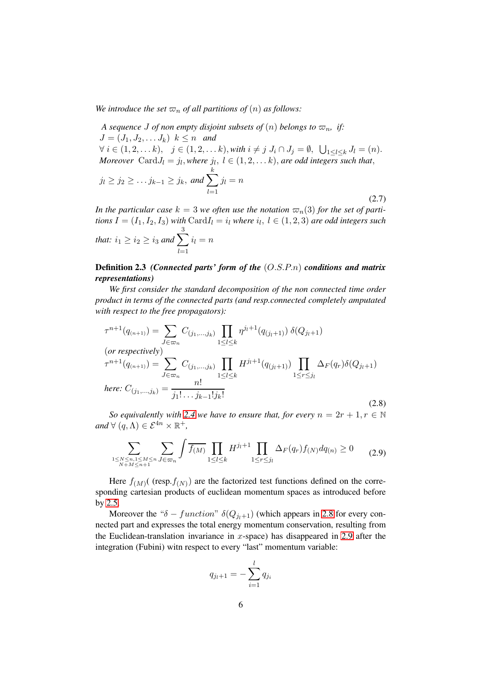*We introduce the set*  $\varpi_n$  *of all partitions of*  $(n)$  *as follows:* 

*A sequence J of non empty disjoint subsets of*  $(n)$  *belongs to*  $\varpi_n$ , *if:*  $J = (J_1, J_2, \ldots, J_k)$   $k \leq n$  *and*  $\forall i \in (1, 2, \ldots k), \quad j \in (1, 2, \ldots k), \text{ with } i \neq j \text{ } J_i \cap J_j = \emptyset, \ \bigcup_{1 \leq l \leq k} J_l = (n).$ *Moreover*  $Card J_l = j_l$ , where  $j_l$ ,  $l \in (1, 2, \ldots k)$ , are odd integers such that,

$$
j_l \geq j_2 \geq \ldots j_{k-1} \geq j_k, \text{ and } \sum_{l=1}^k j_l = n
$$

(2.7)

*In the particular case*  $k = 3$  *we often use the notation*  $\varpi_n(3)$  *for the set of parti* $t$ *ions*  $I = (I_1, I_2, I_3)$  *with*  $\mathrm{Card}I_l = i_l$  *where*  $i_l,~l \in (1,2,3)$  *are odd integers such* 3

$$
that: i_1 \ge i_2 \ge i_3 \text{ and } \sum_{l=1}^{\infty} i_l = n
$$

## <span id="page-7-0"></span>Definition 2.3 *(Connected parts' form of the* (O.S.P.n) *conditions and matrix representations)*

*We first consider the standard decomposition of the non connected time order product in terms of the connected parts (and resp.connected completely amputated with respect to the free propagators):*

<span id="page-7-1"></span>
$$
\tau^{n+1}(q_{(n+1)}) = \sum_{J \in \varpi_n} C_{(j_1, \dots, j_k)} \prod_{1 \le l \le k} \eta^{j_l+1}(q_{(j_l+1)}) \, \delta(Q_{j_l+1})
$$
\n(*or respectively*)\n
$$
\tau^{n+1}(q_{(n+1)}) = \sum_{J \in \varpi_n} C_{(j_1, \dots, j_k)} \prod_{1 \le l \le k} H^{j_l+1}(q_{(j_l+1)}) \prod_{1 \le r \le j_l} \Delta_F(q_r) \delta(Q_{j_l+1})
$$
\n*here:*  $C_{(j_1, \dots, j_k)} = \frac{n!}{j_1! \dots j_{k-1}! j_k!}$ \n(2.8)

*So equivalently with* [2.4](#page-5-1) *we have to ensure that, for every*  $n = 2r + 1, r \in \mathbb{N}$  $and \forall (q, \Lambda) \in \mathcal{E}^{4n} \times \mathbb{R}^+,$ 

<span id="page-7-2"></span>
$$
\sum_{\substack{1 \le N \le n, 1 \le M \le n \\ N+M \le n+1}} \sum_{J \in \varpi_n} \int \overline{f(M)} \prod_{1 \le l \le k} H^{j_l+1} \prod_{1 \le r \le j_l} \Delta_F(q_r) f(N) dq_{(n)} \ge 0 \tag{2.9}
$$

Here  $f_{(M)}$  (resp. $f_{(N)}$ ) are the factorized test functions defined on the corresponding cartesian products of euclidean momentum spaces as introduced before by [2.5.](#page-6-1)

Moreover the " $\delta$  – function"  $\delta(Q_{j_1+1})$  (which appears in [2.8](#page-7-1) for every connected part and expresses the total energy momentum conservation, resulting from the Euclidean-translation invariance in  $x$ -space) has disappeared in [2.9](#page-7-2) after the integration (Fubini) witn respect to every "last" momentum variable:

$$
q_{j_l+1}=-\sum_{i=1}^l q_{j_i}
$$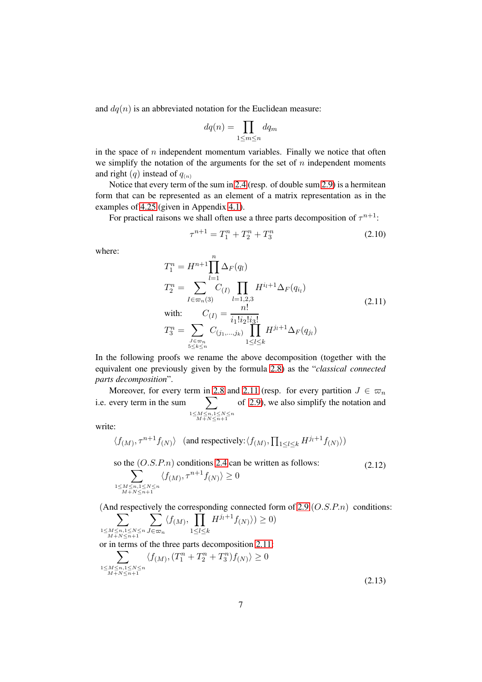and  $dq(n)$  is an abbreviated notation for the Euclidean measure:

$$
dq(n) = \prod_{1 \le m \le n} dq_m
$$

in the space of  $n$  independent momentum variables. Finally we notice that often we simplify the notation of the arguments for the set of  $n$  independent moments and right  $(q)$  instead of  $q_{(n)}$ 

Notice that every term of the sum in [2.4](#page-5-1) (resp. of double sum [2.9\)](#page-7-2) is a hermitean form that can be represented as an element of a matrix representation as in the examples of [4.25](#page-16-2) (given in Appendix [4.1\)](#page-16-3).

For practical raisons we shall often use a three parts decomposition of  $\tau^{n+1}$ :

$$
\tau^{n+1} = T_1^n + T_2^n + T_3^n \tag{2.10}
$$

where:

<span id="page-8-0"></span>
$$
T_1^n = H^{n+1} \prod_{l=1}^n \Delta_F(q_l)
$$
  
\n
$$
T_2^n = \sum_{I \in \varpi_n(3)} \prod_{l=1,2,3} H^{i_l+1} \Delta_F(q_{i_l})
$$
  
\nwith: 
$$
C_{(I)} = \frac{n!}{i_1! i_2! i_3!}
$$
  
\n
$$
T_3^n = \sum_{\substack{J \in \varpi_n \\ 5 \le k \le n}} C_{(j_1,\ldots,j_k)} \prod_{1 \le l \le k} H^{j_l+1} \Delta_F(q_{j_l})
$$
\n(2.11)

In the following proofs we rename the above decomposition (together with the equivalent one previously given by the formula [2.8\)](#page-7-1) as the "*classical connected parts decomposition*".

Moreover, for every term in [2.8](#page-7-1) and [2.11](#page-8-0) (resp. for every partition  $J \in \varpi_n$ i.e. every term in the sum  $\substack{1 \leq M \leq n, 1 \leq N \leq n \\ M+N \leq n+1}$ of [2.9\)](#page-7-2), we also simplify the notation and

write:

$$
\langle f_{(M)}, \tau^{n+1} f_{(N)} \rangle
$$
 (and respectively:  $\langle f_{(M)}, \prod_{1 \leq l \leq k} H^{j_l+1} f_{(N)} \rangle$ )

<span id="page-8-1"></span>so the  $(O.S.P.n)$  conditions [2.4](#page-5-1) can be written as follows: (2.12)

$$
\sum_{\substack{1 \le M \le n, 1 \le N \le n \\ M+N \le n+1}} \langle f_{(M)}, \tau^{n+1} f_{(N)} \rangle \ge 0
$$

(And respectively the corresponding connected form of [2.9](#page-7-2)  $(O.S.P.n)$  conditions:

$$
\sum_{\substack{1 \le M \le n, 1 \le N \le n \\ M+N \le n+1}} \sum_{J \in \varpi_n} \langle f(M), \prod_{1 \le l \le k} H^{j_l+1} f(N) \rangle \rangle \ge 0
$$

<span id="page-8-2"></span>or in terms of the three parts decomposition [2.11:](#page-8-0)

$$
\sum_{\substack{1 \le M \le n, 1 \le N \le n \\ M+N \le n+1}} \langle f(M), (T_1^n + T_2^n + T_3^n) f(N) \rangle \ge 0
$$
\n(2.13)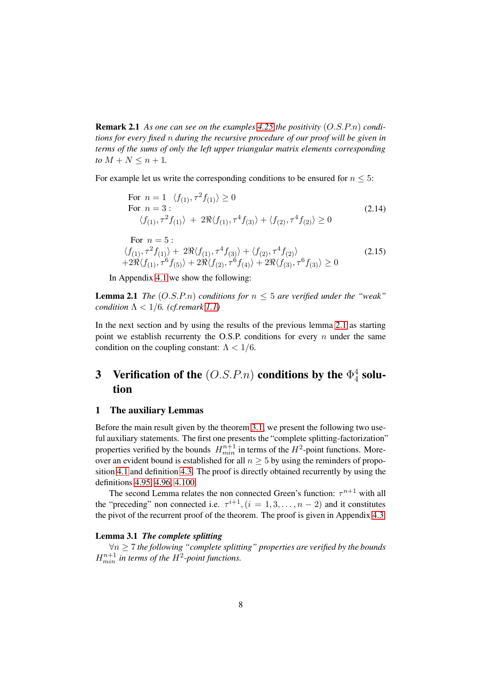<span id="page-9-3"></span>Remark 2.1 *As one can see on the examples [4.25](#page-16-2) the positivity* (O.S.P.n) *conditions for every fixed* n *during the recursive procedure of our proof will be given in terms of the sums of only the left upper triangular matrix elements corresponding to*  $M + N \leq n + 1$ *.* 

For example let us write the corresponding conditions to be ensured for  $n \leq 5$ :

For 
$$
n = 1
$$
  $\langle f_{(1)}, \tau^2 f_{(1)} \rangle \ge 0$   
\nFor  $n = 3$ :  
\n $\langle f_{(1)}, \tau^2 f_{(1)} \rangle + 2\Re \langle f_{(1)}, \tau^4 f_{(3)} \rangle + \langle f_{(2)}, \tau^4 f_{(2)} \rangle \ge 0$   
\nFor  $n = 5$ :  
\n $\langle f_{(1)}, \tau^2 f_{(1)} \rangle + 2\Re \langle f_{(1)}, \tau^4 f_{(3)} \rangle + \langle f_{(2)}, \tau^4 f_{(2)} \rangle$   
\n $+ 2\Re \langle f_{(1)}, \tau^6 f_{(5)} \rangle + 2\Re \langle f_{(2)}, \tau^6 f_{(4)} \rangle + 2\Re \langle f_{(3)}, \tau^6 f_{(3)} \rangle \ge 0$  (2.15)

<span id="page-9-4"></span><span id="page-9-2"></span>In Appendix [4.1](#page-16-3) we show the following:

**Lemma 2.1** *The*  $(O.S.P.n)$  *conditions for*  $n \leq 5$  *are verified under the "weak" condition*  $\Lambda$  < 1/6*. (cf. remark* [1.1\)](#page-3-2)

In the next section and by using the results of the previous lemma [2.1](#page-9-2) as starting point we establish recurrenty the O.S.P. conditions for every  $n$  under the same condition on the coupling constant:  $\Lambda < 1/6$ .

#### <span id="page-9-0"></span>3 Verification of the  $(O.S.P.n)$  conditions by the  $\Phi_4^4$  $_4^4$  solution

#### <span id="page-9-1"></span>1 The auxiliary Lemmas

Before the main result given by the theorem [3.1,](#page-11-1) we present the following two useful auxiliary statements. The first one presents the "complete splitting-factorization" properties verified by the bounds  $H_{min}^{n+1}$  in terms of the  $H^2$ -point functions. Moreover an evident bound is established for all  $n \geq 5$  by using the reminders of proposition [4.1](#page-31-0) and definition [4.3.](#page-29-0) The proof is directly obtained recurrently by using the definitions [4.95,](#page-30-0) [4.96,](#page-30-1) [4.100.](#page-31-0)

The second Lemma relates the non connected Green's function:  $\tau^{n+1}$  with all the "preceding" non connected i.e.  $\tau^{i+1}$ ,  $(i = 1, 3, ..., n-2)$  and it constitutes the pivot of the recurrent proof of the theorem. The proof is given in Appendix [4.3.](#page-23-1)

#### <span id="page-9-5"></span>Lemma 3.1 *The complete splitting*

∀n ≥ 7 *the following "complete splitting" properties are verified by the bounds*  $H_{min}^{n+1}$  in terms of the  $H^2$ -point functions.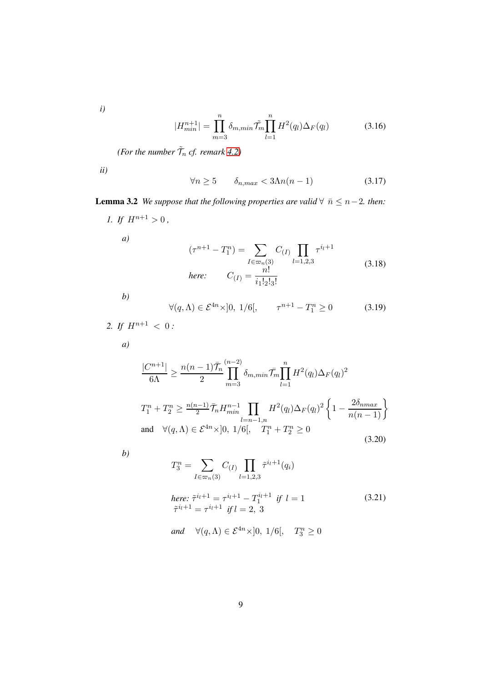*i)*

$$
|H_{min}^{n+1}| = \prod_{m=3}^{n} \delta_{m,min} \tilde{\mathcal{T}}_m \prod_{l=1}^{n} H^2(q_l) \Delta_F(q_l)
$$
 (3.16)

*(For the number*  $\tilde{\mathcal{T}}_n$  *cf. remark* [4.2\)](#page-30-1)

*ii)*

$$
\forall n \ge 5 \qquad \delta_{n,max} < 3\Lambda n(n-1) \tag{3.17}
$$

<span id="page-10-0"></span>**Lemma 3.2** *We suppose that the following properties are valid*  $\forall \bar{n} \leq n-2$ *. then: 1.* If  $H^{n+1} > 0$ ,

<span id="page-10-1"></span>
$$
(\tau^{n+1} - T_1^n) = \sum_{I \in \varpi_n(3)} C_{(I)} \prod_{l=1,2,3} \tau^{i_l+1}
$$
  
here: 
$$
C_{(I)} = \frac{n!}{i_1! \cdot 2! \cdot 3!}
$$
 (3.18)

*b)*

*a)*

$$
\forall (q, \Lambda) \in \mathcal{E}^{4n} \times ]0, 1/6[, \qquad \tau^{n+1} - T_1^n \ge 0 \tag{3.19}
$$

2. If 
$$
H^{n+1} < 0
$$
:

*a)*

<span id="page-10-2"></span>
$$
\frac{|C^{n+1}|}{6\Lambda} \ge \frac{n(n-1)\bar{\mathcal{T}}_n}{2} \prod_{m=3}^{(n-2)} \delta_{m,min} \bar{\mathcal{T}}_m \prod_{l=1}^n H^2(q_l) \Delta_F(q_l)^2
$$
  

$$
T_1^n + T_2^n \ge \frac{n(n-1)}{2} \bar{\mathcal{T}}_n H_{min}^{n-1} \prod_{l=n-1,n} H^2(q_l) \Delta_F(q_l)^2 \left\{ 1 - \frac{2\delta_{nmax}}{n(n-1)} \right\}
$$
  
and  $\forall (q,\Lambda) \in \mathcal{E}^{4n} \times ]0, 1/6[, \quad T_1^n + T_2^n \ge 0$  (3.20)

*b)*

<span id="page-10-3"></span>
$$
T_3^n = \sum_{I \in \varpi_n(3)} C_{(I)} \prod_{l=1,2,3} \tilde{\tau}^{i_l+1}(q_i)
$$
  
here:  $\tilde{\tau}^{i_l+1} = \tau^{i_l+1} - T_1^{i_l+1}$  if  $l = 1$   
 $\tilde{\tau}^{i_l+1} = \tau^{i_l+1}$  if  $l = 2, 3$  (3.21)

and 
$$
\forall (q, \Lambda) \in \mathcal{E}^{4n} \times ]0, 1/6[, T_3^n \ge 0
$$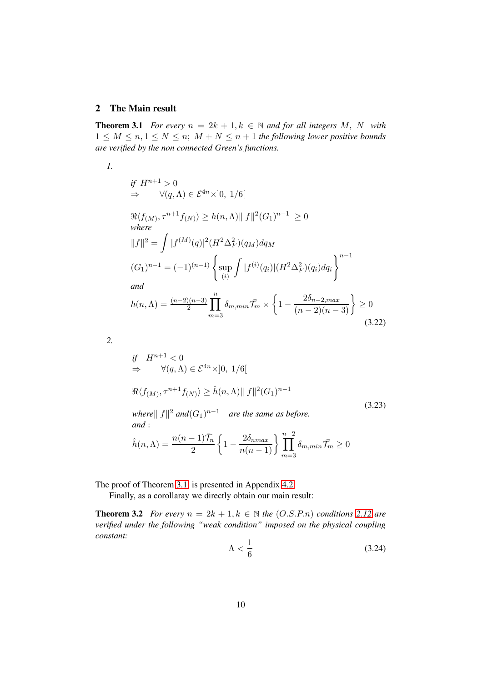#### <span id="page-11-0"></span>2 The Main result

**Theorem 3.1** *For every*  $n = 2k + 1, k \in \mathbb{N}$  *and for all integers* M, N *with*  $1 \leq M \leq n, 1 \leq N \leq n$ ;  $M + N \leq n + 1$  the following lower positive bounds *are verified by the non connected Green's functions.*

*1.*

if 
$$
H^{n+1} > 0
$$
  
\n $\Rightarrow \quad \forall (q, \Lambda) \in \mathcal{E}^{4n} \times ]0, 1/6[$   
\n $\Re\langle f_{(M)}, \tau^{n+1} f_{(N)} \rangle \ge h(n, \Lambda) || f ||^2 (G_1)^{n-1} \ge 0$   
\nwhere  
\n $||f||^2 = \int |f^{(M)}(q)|^2 (H^2 \Delta_F^2)(q_M) dq_M$   
\n $(G_1)^{n-1} = (-1)^{(n-1)} \left\{ \sup_{(i)} \int |f^{(i)}(q_i)| (H^2 \Delta_F^2)(q_i) dq_i \right\}^{n-1}$   
\nand  
\n $h(n, \Lambda) = \frac{(n-2)(n-3)}{2} \prod_{m=3}^{n} \delta_{m, min} \overline{f}_m \times \left\{ 1 - \frac{2\delta_{n-2, max}}{(n-2)(n-3)} \right\} \ge 0$ \n(3.22)

*2.*

<span id="page-11-1"></span>if 
$$
H^{n+1} < 0
$$
  
\n $\Rightarrow \quad \forall (q, \Lambda) \in \mathcal{E}^{4n} \times ]0, 1/6[$   
\n $\Re \langle f_{(M)}, \tau^{n+1} f_{(N)} \rangle \ge \hat{h}(n, \Lambda) || f ||^2 (G_1)^{n-1}$   
\nwhere  $|| f ||^2$  and  $(G_1)^{n-1}$  are the same as before.  
\nand :  
\n
$$
\hat{h}(n, \Lambda) = \frac{n(n-1)\overline{T}_n}{2} \left\{ 1 - \frac{2\delta_{nmax}}{n(n-1)} \right\} \prod_{m=3}^{n-2} \delta_{m,min} \overline{T}_m \ge 0
$$
\n(3.23)

The proof of Theorem [3.1](#page-11-1) is presented in Appendix [4.2](#page-19-1)

Finally, as a corollaray we directly obtain our main result:

**Theorem 3.2** *For every*  $n = 2k + 1, k \in \mathbb{N}$  *the*  $(O.S.P.n)$  *conditions* [2.12](#page-8-1) *are verified under the following "weak condition" imposed on the physical coupling constant:*

$$
\Lambda < \frac{1}{6} \tag{3.24}
$$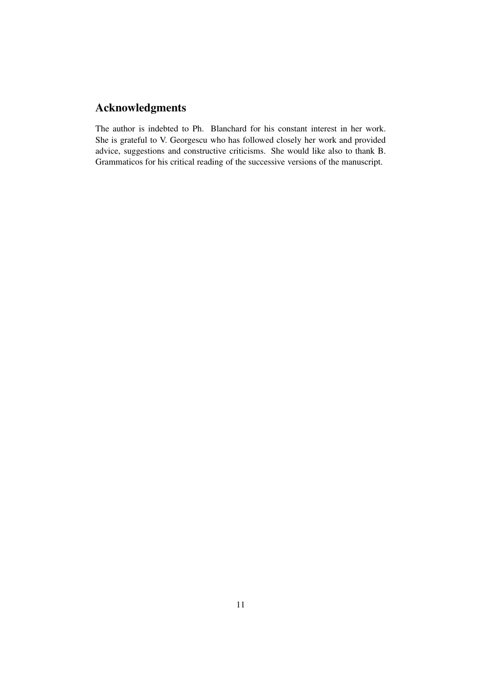# Acknowledgments

The author is indebted to Ph. Blanchard for his constant interest in her work. She is grateful to V. Georgescu who has followed closely her work and provided advice, suggestions and constructive criticisms. She would like also to thank B. Grammaticos for his critical reading of the successive versions of the manuscript.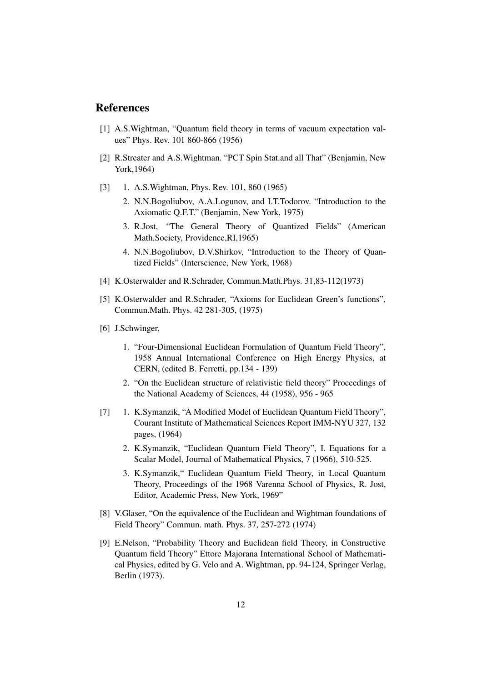# <span id="page-13-0"></span>References

- <span id="page-13-1"></span>[1] A.S.Wightman, "Quantum field theory in terms of vacuum expectation values" Phys. Rev. 101 860-866 (1956)
- [2] R.Streater and A.S.Wightman. "PCT Spin Stat.and all That" (Benjamin, New York,1964)
- [3] 1. A.S. Wightman, Phys. Rev. 101, 860 (1965)
	- 2. N.N.Bogoliubov, A.A.Logunov, and I.T.Todorov. "Introduction to the Axiomatic Q.F.T." (Benjamin, New York, 1975)
	- 3. R.Jost, "The General Theory of Quantized Fields" (American Math.Society, Providence,RI,1965)
	- 4. N.N.Bogoliubov, D.V.Shirkov, "Introduction to the Theory of Quantized Fields" (Interscience, New York, 1968)
- <span id="page-13-3"></span><span id="page-13-2"></span>[4] K.Osterwalder and R.Schrader, Commun.Math.Phys. 31,83-112(1973)
- <span id="page-13-4"></span>[5] K.Osterwalder and R.Schrader, "Axioms for Euclidean Green's functions", Commun.Math. Phys. 42 281-305, (1975)
- [6] J.Schwinger,
	- 1. "Four-Dimensional Euclidean Formulation of Quantum Field Theory", 1958 Annual International Conference on High Energy Physics, at CERN, (edited B. Ferretti, pp.134 - 139)
	- 2. "On the Euclidean structure of relativistic field theory" Proceedings of the National Academy of Sciences, 44 (1958), 956 - 965
- [7] 1. K.Symanzik, "A Modified Model of Euclidean Quantum Field Theory", Courant Institute of Mathematical Sciences Report IMM-NYU 327, 132 pages, (1964)
	- 2. K.Symanzik, "Euclidean Quantum Field Theory", I. Equations for a Scalar Model, Journal of Mathematical Physics, 7 (1966), 510-525.
	- 3. K.Symanzik," Euclidean Quantum Field Theory, in Local Quantum Theory, Proceedings of the 1968 Varenna School of Physics, R. Jost, Editor, Academic Press, New York, 1969"
- <span id="page-13-5"></span>[8] V.Glaser, "On the equivalence of the Euclidean and Wightman foundations of Field Theory" Commun. math. Phys. 37, 257-272 (1974)
- <span id="page-13-6"></span>[9] E.Nelson, "Probability Theory and Euclidean field Theory, in Constructive Quantum field Theory" Ettore Majorana International School of Mathematical Physics, edited by G. Velo and A. Wightman, pp. 94-124, Springer Verlag, Berlin (1973).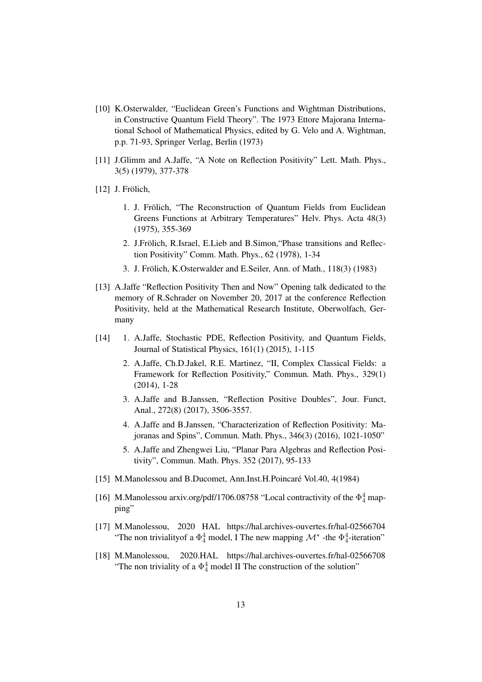- <span id="page-14-0"></span>[10] K.Osterwalder, "Euclidean Green's Functions and Wightman Distributions, in Constructive Quantum Field Theory". The 1973 Ettore Majorana International School of Mathematical Physics, edited by G. Velo and A. Wightman, p.p. 71-93, Springer Verlag, Berlin (1973)
- <span id="page-14-2"></span><span id="page-14-1"></span>[11] J.Glimm and A.Jaffe, "A Note on Reflection Positivity" Lett. Math. Phys., 3(5) (1979), 377-378
- $[12]$  J. Frölich,
	- 1. J. Frölich, "The Reconstruction of Quantum Fields from Euclidean Greens Functions at Arbitrary Temperatures" Helv. Phys. Acta 48(3) (1975), 355-369
	- 2. J.Frölich, R.Israel, E.Lieb and B.Simon, "Phase transitions and Reflection Positivity" Comm. Math. Phys., 62 (1978), 1-34
	- 3. J. Frölich, K.Osterwalder and E.Seiler, Ann. of Math., 118(3) (1983)
- <span id="page-14-3"></span>[13] A.Jaffe "Reflection Positivity Then and Now" Opening talk dedicated to the memory of R.Schrader on November 20, 2017 at the conference Reflection Positivity, held at the Mathematical Research Institute, Oberwolfach, Germany
- <span id="page-14-4"></span>[14] 1. A.Jaffe, Stochastic PDE, Reflection Positivity, and Quantum Fields, Journal of Statistical Physics, 161(1) (2015), 1-115
	- 2. A.Jaffe, Ch.D.Jakel, R.E. Martinez, "II, Complex Classical Fields: a Framework for Reflection Positivity," Commun. Math. Phys., 329(1) (2014), 1-28
	- 3. A.Jaffe and B.Janssen, "Reflection Positive Doubles", Jour. Funct, Anal., 272(8) (2017), 3506-3557.
	- 4. A.Jaffe and B.Janssen, "Characterization of Reflection Positivity: Majoranas and Spins", Commun. Math. Phys., 346(3) (2016), 1021-1050"
	- 5. A.Jaffe and Zhengwei Liu, "Planar Para Algebras and Reflection Positivity", Commun. Math. Phys. 352 (2017), 95-133
- <span id="page-14-8"></span><span id="page-14-7"></span>[15] M.Manolessou and B.Ducomet, Ann.Inst.H.Poincaré Vol.40, 4(1984)
- [16] M.Manolessou arxiv.org/pdf/1706.08758 "Local contractivity of the  $\Phi_4^4$  mapping"
- <span id="page-14-5"></span>[17] M.Manolessou, 2020 HAL https://hal.archives-ouvertes.fr/hal-02566704 "The non triviality of a  $\Phi_4^4$  model, I The new mapping  $\mathcal{M}^*$  -the  $\Phi_4^4$ -iteration"
- <span id="page-14-6"></span>[18] M.Manolessou, 2020.HAL https://hal.archives-ouvertes.fr/hal-02566708 "The non triviality of a  $\Phi_4^4$  model II The construction of the solution"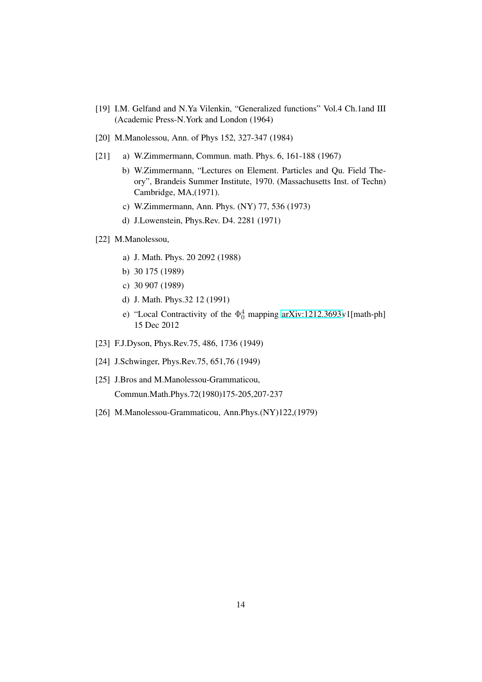- <span id="page-15-4"></span><span id="page-15-0"></span>[19] I.M. Gelfand and N.Ya Vilenkin, "Generalized functions" Vol.4 Ch.1and III (Academic Press-N.York and London (1964)
- <span id="page-15-1"></span>[20] M.Manolessou, Ann. of Phys 152, 327-347 (1984)
- [21] a) W.Zimmermann, Commun. math. Phys. 6, 161-188 (1967)
	- b) W.Zimmermann, "Lectures on Element. Particles and Qu. Field Theory", Brandeis Summer Institute, 1970. (Massachusetts Inst. of Techn) Cambridge, MA,(1971).
	- c) W.Zimmermann, Ann. Phys. (NY) 77, 536 (1973)
	- d) J.Lowenstein, Phys.Rev. D4. 2281 (1971)
- <span id="page-15-3"></span>[22] M.Manolessou,
	- a) J. Math. Phys. 20 2092 (1988)
	- b) 30 175 (1989)
	- c) 30 907 (1989)
	- d) J. Math. Phys.32 12 (1991)
	- e) "Local Contractivity of the  $\Phi_0^4$  mapping [arXiv:1212.3693v](http://arxiv.org/abs/1212.3693)1[math-ph] 15 Dec 2012
- <span id="page-15-2"></span>[23] F.J.Dyson, Phys.Rev.75, 486, 1736 (1949)
- <span id="page-15-5"></span>[24] J.Schwinger, Phys.Rev.75, 651,76 (1949)
- [25] J.Bros and M.Manolessou-Grammaticou, Commun.Math.Phys.72(1980)175-205,207-237
- <span id="page-15-6"></span>[26] M.Manolessou-Grammaticou, Ann.Phys.(NY)122,(1979)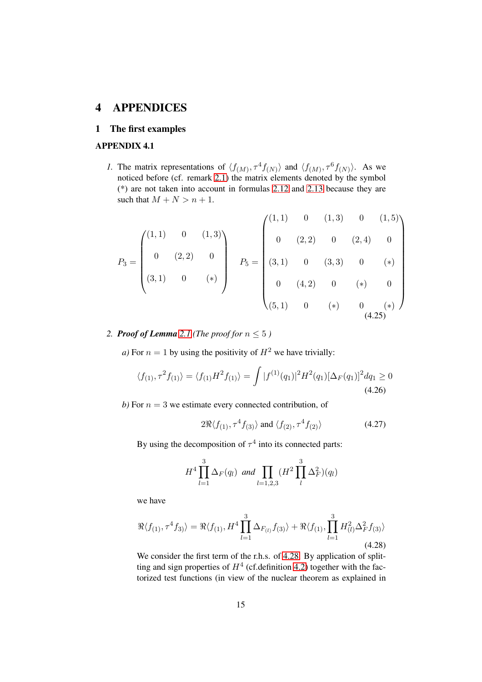# <span id="page-16-1"></span><span id="page-16-0"></span>4 APPENDICES

# <span id="page-16-3"></span>1 The first examples

#### APPENDIX 4.1

*1*. The matrix representations of  $\langle f_{(M)}, \tau^4 f_{(N)} \rangle$  and  $\langle f_{(M)}, \tau^6 f_{(N)} \rangle$ . As we noticed before (cf. remark [2.1\)](#page-9-3) the matrix elements denoted by the symbol (\*) are not taken into account in formulas [2.12](#page-8-1) and [2.13](#page-8-2) because they are such that  $M + N > n + 1$ .

<span id="page-16-2"></span>
$$
P_3 = \begin{pmatrix} (1,1) & 0 & (1,3) \\ 0 & (2,2) & 0 \\ (3,1) & 0 & (*) \end{pmatrix} \quad P_5 = \begin{pmatrix} (1,1) & 0 & (1,3) & 0 & (1,5) \\ 0 & (2,2) & 0 & (2,4) & 0 \\ (3,1) & 0 & (3,3) & 0 & (*) \\ 0 & (4,2) & 0 & (*) & 0 \\ (5,1) & 0 & (*) & 0 & (*) \end{pmatrix}
$$
 (4.25)

# 2. **Proof of Lemma** [2.1](#page-9-2) (The proof for  $n \leq 5$ )

*a)* For  $n = 1$  by using the positivity of  $H^2$  we have trivially:

$$
\langle f_{(1)}, \tau^2 f_{(1)} \rangle = \langle f_{(1)} H^2 f_{(1)} \rangle = \int |f^{(1)}(q_1)|^2 H^2(q_1) [\Delta_F(q_1)]^2 dq_1 \ge 0
$$
\n(4.26)

*b*) For  $n = 3$  we estimate every connected contribution, of

$$
2\Re\langle f_{(1)}, \tau^4 f_{(3)}\rangle \text{ and } \langle f_{(2)}, \tau^4 f_{(2)}\rangle \tag{4.27}
$$

By using the decomposition of  $\tau^4$  into its connected parts:

$$
H^{4} \prod_{l=1}^{3} \Delta_{F}(q_{l}) \text{ and } \prod_{l=1,2,3} (H^{2} \prod_{l}^{3} \Delta_{F}^{2})(q_{l})
$$

we have

<span id="page-16-4"></span>
$$
\Re\langle f_{(1)}, \tau^4 f_{3} \rangle = \Re\langle f_{(1)}, H^4 \prod_{l=1}^3 \Delta_{F_{(l)}} f_{(3)} \rangle + \Re\langle f_{(1)}, \prod_{l=1}^3 H_{(l)}^2 \Delta_F^2 f_{(3)} \rangle
$$
\n(4.28)

We consider the first term of the r.h.s. of [4.28.](#page-16-4) By application of splitting and sign properties of  $H<sup>4</sup>$  (cf.definition [4.2\)](#page-27-0) together with the factorized test functions (in view of the nuclear theorem as explained in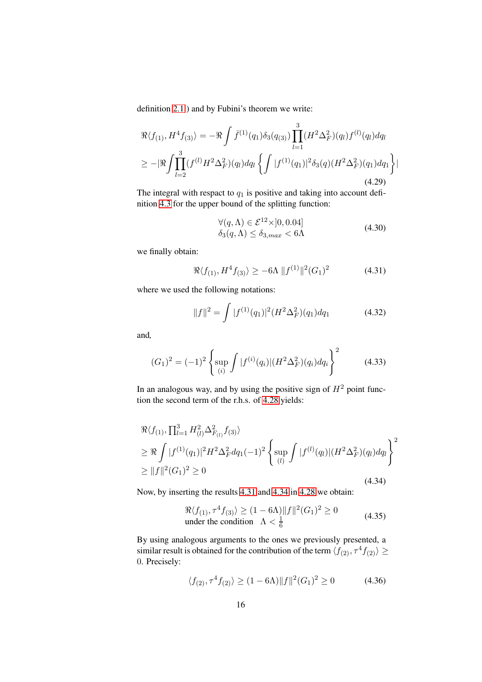definition [2.1](#page-6-2) ) and by Fubini's theorem we write:

$$
\Re\langle f_{(1)}, H^4 f_{(3)}\rangle = -\Re \int \bar{f}^{(1)}(q_1) \delta_3(q_{(3)}) \prod_{l=1}^3 (H^2 \Delta_F^2)(q_l) f^{(l)}(q_l) dq_l
$$
  
\n
$$
\geq -|\Re \int \prod_{l=2}^3 (f^{(l)} H^2 \Delta_F^2)(q_l) dq_l \left\{ \int |f^{(1)}(q_1)|^2 \delta_3(q) (H^2 \Delta_F^2)(q_1) dq_1 \right\} |
$$
\n(4.29)

The integral with respact to  $q_1$  is positive and taking into account definition [4.3](#page-29-0) for the upper bound of the splitting function:

$$
\forall (q, \Lambda) \in \mathcal{E}^{12} \times ]0, 0.04]
$$
  
\n
$$
\delta_3(q, \Lambda) \le \delta_{3,max} < 6\Lambda
$$
\n(4.30)

we finally obtain:

<span id="page-17-0"></span>
$$
\Re\langle f_{(1)}, H^4 f_{(3)}\rangle \ge -6\Lambda \|f^{(1)}\|^2 (G_1)^2 \tag{4.31}
$$

where we used the following notations:

<span id="page-17-2"></span>
$$
||f||^2 = \int |f^{(1)}(q_1)|^2 (H^2 \Delta_F^2)(q_1) dq_1 \tag{4.32}
$$

and*,*

<span id="page-17-3"></span>
$$
(G_1)^2 = (-1)^2 \left\{ \sup_{(i)} \int |f^{(i)}(q_i)| (H^2 \Delta_F^2)(q_i) dq_i \right\}^2 \tag{4.33}
$$

In an analogous way, and by using the positive sign of  $H<sup>2</sup>$  point function the second term of the r.h.s. of [4.28](#page-16-4) yields:

<span id="page-17-1"></span>
$$
\mathcal{R}\langle f_{(1)}, \prod_{l=1}^{3} H_{(l)}^{2} \Delta_{F_{(l)}}^{2} f_{(3)} \rangle \n\geq \mathcal{R} \int |f^{(1)}(q_{1})|^{2} H^{2} \Delta_{F}^{2} dq_{1}(-1)^{2} \left\{ \sup_{(l)} \int |f^{(l)}(q_{l})| (H^{2} \Delta_{F}^{2}) (q_{l}) dq_{l} \right\}^{2} \n\geq ||f||^{2} (G_{1})^{2} \geq 0
$$
\n(4.34)

Now, by inserting the results [4.31](#page-17-0) and [4.34](#page-17-1) in [4.28](#page-16-4) we obtain:

<span id="page-17-4"></span>
$$
\Re\langle f_{(1)}, \tau^4 f_{(3)}\rangle \ge (1 - 6\Lambda) ||f||^2 (G_1)^2 \ge 0
$$
  
under the condition  $\Lambda < \frac{1}{6}$  (4.35)

By using analogous arguments to the ones we previously presented, a similar result is obtained for the contribution of the term  $\langle f_{(2)}, \tau^4 f_{(2)} \rangle \geq$ 0. Precisely:

$$
\langle f_{(2)}, \tau^4 f_{(2)} \rangle \ge (1 - 6\Lambda) \|f\|^2 (G_1)^2 \ge 0 \tag{4.36}
$$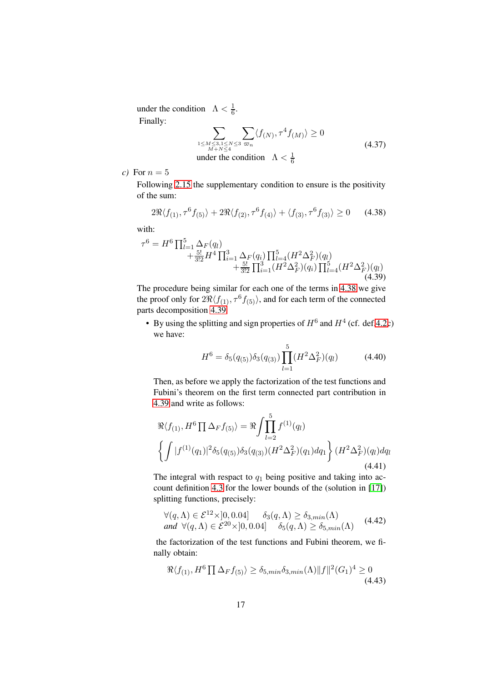under the condition  $\Lambda < \frac{1}{6}$  $\frac{1}{6}$ . Finally:

$$
\sum_{\substack{1 \le M \le 3, 1 \le N \le 3 \\ M + N \le 4}} \sum_{\substack{m \le N \\ n \equiv n}} \langle f(N), \tau^4 f(M) \rangle \ge 0
$$
\n(4.37)

\nunder the condition  $\Lambda < \frac{1}{6}$ 

*c*) For  $n = 5$ 

Following [2.15](#page-9-4) the supplementary condition to ensure is the positivity of the sum:

<span id="page-18-0"></span>
$$
2\Re\langle f_{(1)}, \tau^6 f_{(5)} \rangle + 2\Re\langle f_{(2)}, \tau^6 f_{(4)} \rangle + \langle f_{(3)}, \tau^6 f_{(3)} \rangle \ge 0 \quad (4.38)
$$

with:

<span id="page-18-1"></span>
$$
\tau^{6} = H^{6} \prod_{l=1}^{5} \Delta_{F}(q_{l}) + \frac{5!}{3!2} H^{4} \prod_{i=1}^{3} \Delta_{F}(q_{i}) \prod_{l=4}^{5} (H^{2} \Delta_{F}^{2})(q_{l}) + \frac{5!}{3!2} \prod_{i=1}^{3} (H^{2} \Delta_{F}^{2})(q_{i}) \prod_{l=4}^{5} (H^{2} \Delta_{F}^{2})(q_{l})
$$
\n(4.39)

The procedure being similar for each one of the terms in [4.38](#page-18-0) we give the proof only for  $2\Re\langle f_{(1)}, \tau^6 f_{(5)}\rangle$ , and for each term of the connected parts decomposition [4.39](#page-18-1)*.*

• By using the splitting and sign properties of  $H^6$  and  $H^4$  (cf. def[.4.2c](#page-27-0)) we have:

$$
H^{6} = \delta_{5}(q_{(5)})\delta_{3}(q_{(3)})\prod_{l=1}^{5} (H^{2}\Delta_{F}^{2})(q_{l})
$$
 (4.40)

Then, as before we apply the factorization of the test functions and Fubini's theorem on the first term connected part contribution in [4.39](#page-18-1) and write as follows:

$$
\Re\langle f_{(1)}, H^6 \prod \Delta_F f_{(5)} \rangle = \Re \int \prod_{l=2}^5 f^{(1)}(q_l) \n\left\{ \int |f^{(1)}(q_1)|^2 \delta_5(q_{(5)}) \delta_3(q_{(3)}) (H^2 \Delta_F^2)(q_1) dq_1 \right\} (H^2 \Delta_F^2)(q_l) dq_l
$$
\n(4.41)

The integral with respact to  $q_1$  being positive and taking into account definition [4.3](#page-29-0) for the lower bounds of the (solution in [\[17\]](#page-14-5)) splitting functions, precisely:

$$
\forall (q,\Lambda) \in \mathcal{E}^{12} \times ]0,0.04] \quad \delta_3(q,\Lambda) \ge \delta_{3,min}(\Lambda)
$$
  
and 
$$
\forall (q,\Lambda) \in \mathcal{E}^{20} \times ]0,0.04] \quad \delta_5(q,\Lambda) \ge \delta_{5,min}(\Lambda)
$$
 (4.42)

the factorization of the test functions and Fubini theorem, we finally obtain:

$$
\Re\langle f_{(1)}, H^6 \prod \Delta_F f_{(5)} \rangle \ge \delta_{5,min} \delta_{3,min}(\Lambda) \| f \|^2 (G_1)^4 \ge 0
$$
\n(4.43)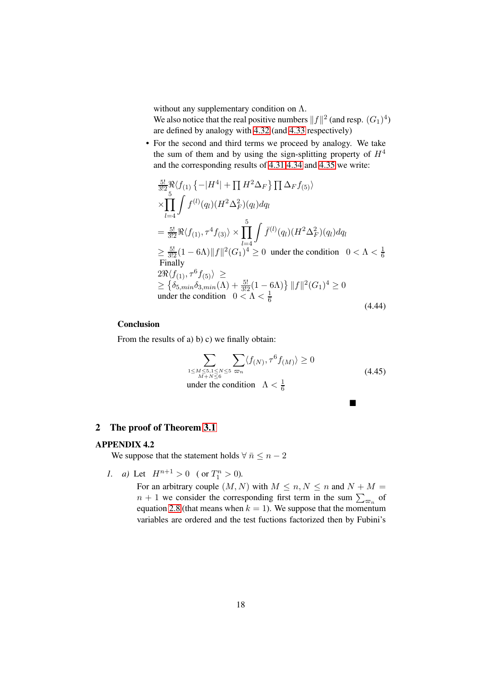without any supplementary condition on  $\Lambda$ .

We also notice that the real positive numbers  $||f||^2$  (and resp.  $(G_1)^4$ ) are defined by analogy with [4.32](#page-17-2) (and [4.33](#page-17-3) respectively)

• For the second and third terms we proceed by analogy. We take the sum of them and by using the sign-splitting property of  $H<sup>4</sup>$ and the corresponding results of [4.31](#page-17-0) [4.34](#page-17-1) and [4.35](#page-17-4) we write:

$$
\frac{5!}{3!2} \Re \langle f_{(1)} \{-|H^4| + \prod H^2 \Delta_F\} \prod \Delta_F f_{(5)} \rangle
$$
\n
$$
\times \prod_{l=4}^{5} \int f^{(l)}(q_l) (H^2 \Delta_F^2)(q_l) dq_l
$$
\n
$$
= \frac{5!}{3!2} \Re \langle f_{(1)}, \tau^4 f_{(3)} \rangle \times \prod_{l=4}^{5} \int \bar{f}^{(l)}(q_l) (H^2 \Delta_F^2)(q_l) dq_l
$$
\n
$$
\geq \frac{5!}{3!2} (1 - 6\Lambda) ||f||^2 (G_1)^4 \geq 0 \text{ under the condition } 0 < \Lambda < \frac{1}{6}
$$
\nFinally\n
$$
2\Re \langle f_{(1)}, \tau^6 f_{(5)} \rangle \geq
$$
\n
$$
\geq \{ \delta_{5, min} \delta_{3, min}(\Lambda) + \frac{5!}{3!2} (1 - 6\Lambda) \} ||f||^2 (G_1)^4 \geq 0
$$
\nunder the condition  $0 < \Lambda < \frac{1}{6}$ \n(4.44)

#### **Conclusion**

From the results of a) b) c) we finally obtain:

$$
\sum_{\substack{1 \le M \le 5, 1 \le N \le 5 \\ M + N \le 6}} \sum_{\substack{m \\ m \equiv n \pmod{N}}} \langle f_{(N)}, \tau^6 f_{(M)} \rangle \ge 0
$$
\nunder the condition

\n
$$
\Lambda < \frac{1}{6}
$$
\n(4.45)

 $\blacksquare$ 

## <span id="page-19-1"></span><span id="page-19-0"></span>2 The proof of Theorem [3.1](#page-11-1)

# APPENDIX 4.2

We suppose that the statement holds  $\forall \bar{n} \leq n-2$ 

*1. a)* Let  $H^{n+1} > 0$  (or  $T_1^n > 0$ ).

For an arbitrary couple  $(M, N)$  with  $M \leq n, N \leq n$  and  $N + M =$  $n + 1$  we consider the corresponding first term in the sum  $\sum_{\varpi_n}$  of equation [2.8](#page-7-1) (that means when  $k = 1$ ). We suppose that the momentum variables are ordered and the test fuctions factorized then by Fubini's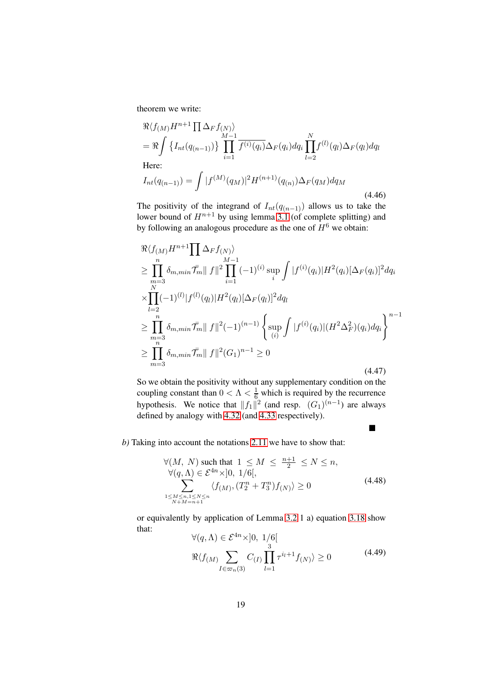theorem we write:

$$
\Re\langle f_{(M)}H^{n+1} \prod_{M} \Delta_F f_{(N)} \rangle
$$
\n
$$
= \Re \int \left\{ I_{nt}(q_{(n-1)}) \right\} \prod_{i=1}^{M-1} \overline{f^{(i)}(q_i)} \Delta_F(q_i) dq_i \prod_{l=2}^{N} f^{(l)}(q_l) \Delta_F(q_l) dq_l
$$
\nHere:  
\n
$$
I_{nt}(q_{(n-1)}) = \int |f^{(M)}(q_M)|^2 H^{(n+1)}(q_{(n)}) \Delta_F(q_M) dq_M
$$

(4.46)

 $\blacksquare$ 

The positivity of the integrand of  $I_{nt}(q_{(n-1)})$  allows us to take the lower bound of  $H^{n+1}$  by using lemma [3.1](#page-9-5) (of complete splitting) and by following an analogous procedure as the one of  $H^6$  we obtain:

<span id="page-20-0"></span>
$$
\Re\langle f_{(M)}H^{n+1}\prod_{i=1}^n \Delta_F f_{(N)}\rangle
$$
\n
$$
\geq \prod_{\substack{m=3 \ N}}^n \delta_{m,min} \bar{\mathcal{T}}_m \|f\|^2 \prod_{i=1}^{M-1} (-1)^{(i)} \sup_i \int |f^{(i)}(q_i)| H^2(q_i) [\Delta_F(q_i)]^2 dq_i
$$
\n
$$
\times \prod_{l=2}^n (-1)^{(l)} |f^{(l)}(q_l)| H^2(q_l) [\Delta_F(q_l)]^2 dq_l
$$
\n
$$
\geq \prod_{\substack{m=3 \ n \ n \ n}}^n \delta_{m,min} \bar{\mathcal{T}}_m \|f\|^2 (-1)^{(n-1)} \left\{ \sup_{(i)} \int |f^{(i)}(q_i)| (H^2 \Delta_F^2)(q_i) dq_i \right\}^{n-1}
$$
\n
$$
\geq \prod_{m=3}^n \delta_{m,min} \bar{\mathcal{T}}_m \|f\|^2 (G_1)^{n-1} \geq 0
$$
\n(4.47)

So we obtain the positivity without any supplementary condition on the coupling constant than  $0 < \Lambda < \frac{1}{6}$  which is required by the recurrence hypothesis. We notice that  $||f_1||^2$  (and resp.  $(G_1)^{(n-1)}$  are always defined by analogy with [4.32](#page-17-2) (and [4.33](#page-17-3) respectively).

#### *b)* Taking into account the notations [2.11](#page-8-0) we have to show that:

<span id="page-20-1"></span>
$$
\forall (M, N) \text{ such that } 1 \le M \le \frac{n+1}{2} \le N \le n,
$$
  
\n
$$
\forall (q, \Lambda) \in \mathcal{E}^{4n} \times ]0, 1/6[,
$$
  
\n
$$
\sum_{\substack{1 \le M \le n, 1 \le N \le n \\ N+M=n+1}} \langle f_{(M)}, (T_2^n + T_3^n) f_{(N)} \rangle \ge 0
$$
\n(4.48)

or equivalently by application of Lemma [3.2](#page-10-0) 1 a) equation [3.18](#page-10-1) show that:  $\langle (q, \Lambda) \rangle$  =  $C_1^4 n_{\Lambda}$ , 10, 1/6[

$$
\forall (q, \Lambda) \in \mathcal{E}^{4n} \times [0, 1/6]
$$
  

$$
\Re \langle f_{(M)} \sum_{I \in \varpi_n(3)} C_{(I)} \prod_{l=1}^{3} \tau^{i_l+1} f_{(N)} \rangle \ge 0
$$
 (4.49)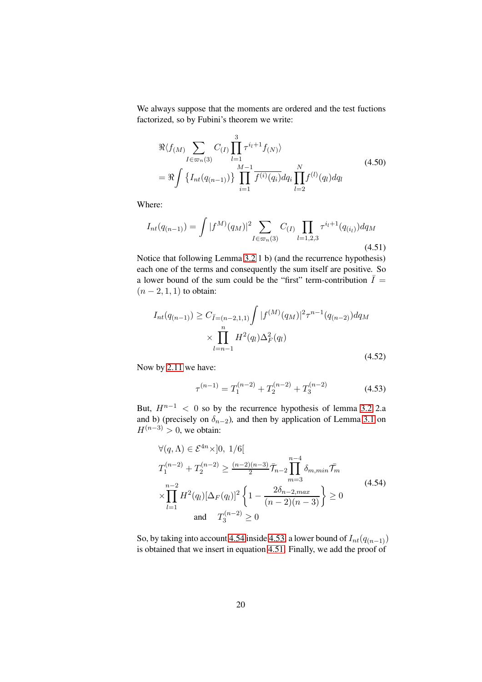We always suppose that the moments are ordered and the test fuctions factorized, so by Fubini's theorem we write:

$$
\Re\langle f_{(M)}\sum_{I \in \varpi_n(3)} C_{(I)} \prod_{l=1}^{3} \tau^{i_l+1} f_{(N)} \rangle
$$
\n
$$
= \Re \int \left\{ I_{nt}(q_{(n-1)}) \right\} \prod_{i=1}^{M-1} \overline{f^{(i)}(q_i)} dq_i \prod_{l=2}^{N} f^{(l)}(q_l) dq_l
$$
\n(4.50)

Where:

<span id="page-21-2"></span>
$$
I_{nt}(q_{(n-1)}) = \int |f^M(q_M)|^2 \sum_{I \in \varpi_n(3)} C_{(I)} \prod_{l=1,2,3} \tau^{i_l+1}(q_{(i_l)}) dq_M
$$
\n(4.51)

Notice that following Lemma [3.2](#page-10-0) 1 b) (and the recurrence hypothesis) each one of the terms and consequently the sum itself are positive*.* So a lower bound of the sum could be the "first" term-contribution  $\overline{I}$  =  $(n - 2, 1, 1)$  to obtain:

$$
I_{nt}(q_{(n-1)}) \ge C_{\bar{I}=(n-2,1,1)} \int |f^{(M)}(q_M)|^2 \tau^{n-1}(q_{(n-2)}) dq_M
$$
  
 
$$
\times \prod_{l=n-1}^n H^2(q_l) \Delta_F^2(q_l)
$$
 (4.52)

Now by [2.11](#page-8-0) we have:

<span id="page-21-1"></span>
$$
\tau^{(n-1)} = T_1^{(n-2)} + T_2^{(n-2)} + T_3^{(n-2)}
$$
\n(4.53)

But,  $H^{n-1}$  < 0 so by the recurrence hypothesis of lemma [3.2](#page-10-0) 2.a and b) (precisely on  $\delta_{n-2}$ ), and then by application of Lemma [3.1](#page-9-5) on  $H^{(n-3)} > 0$ , we obtain:

<span id="page-21-0"></span>
$$
\forall (q, \Lambda) \in \mathcal{E}^{4n} \times ]0, 1/6[
$$
  
\n
$$
T_1^{(n-2)} + T_2^{(n-2)} \ge \frac{(n-2)(n-3)}{2} \bar{\mathcal{T}}_{n-2} \prod_{m=3}^{n-4} \delta_{m, min} \bar{\mathcal{T}}_m
$$
  
\n
$$
\times \prod_{l=1}^{n-2} H^2(q_l) [\Delta_F(q_l)]^2 \left\{ 1 - \frac{2\delta_{n-2, max}}{(n-2)(n-3)} \right\} \ge 0
$$
\n(4.54)  
\nand 
$$
T_3^{(n-2)} \ge 0
$$

So, by taking into account [4.54](#page-21-0) inside [4.53,](#page-21-1) a lower bound of  $I_{nt}(q_{(n-1)})$ is obtained that we insert in equation [4.51.](#page-21-2) Finally, we add the proof of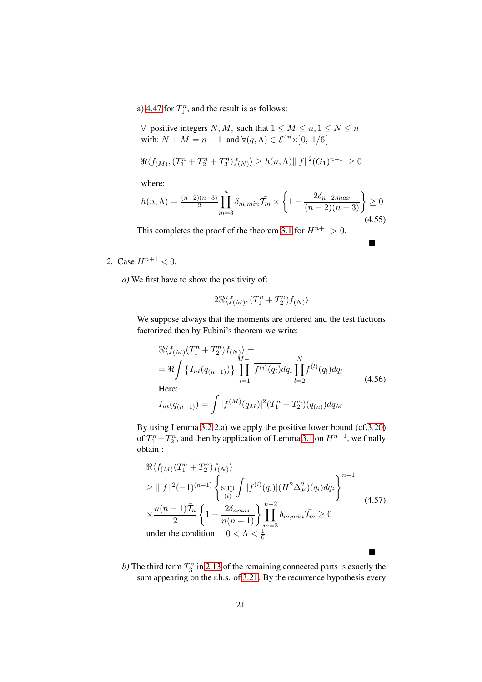a) [4.47](#page-20-0) for  $T_1^n$ , and the result is as follows:

 $\forall$  positive integers N, M, such that  $1 \leq M \leq n, 1 \leq N \leq n$ with:  $N + M = n + 1$  and  $\forall (q, \Lambda) \in \mathcal{E}^{4n} \times ]0, 1/6[$ 

$$
\Re\langle f_{(M)}, (T_1^n + T_2^n + T_3^n)f_{(N)}\rangle \ge h(n,\Lambda) \| f \|^2 (G_1)^{n-1} \ge 0
$$

where:

$$
h(n,\Lambda) = \frac{(n-2)(n-3)}{2} \prod_{m=3}^{n} \delta_{m,min} \overline{T}_m \times \left\{ 1 - \frac{2\delta_{n-2,max}}{(n-2)(n-3)} \right\} \ge 0
$$
\n(4.55)

 $\blacksquare$ 

 $\blacksquare$ 

This completes the proof of the theorem [3.1](#page-11-1) for  $H^{n+1} > 0$ .

2. Case  $H^{n+1} < 0$ .

*a)* We first have to show the positivity of:

$$
2\Re\langle f_{(M)}, (T_1^n+T_2^n)f_{(N)}\rangle
$$

We suppose always that the moments are ordered and the test fuctions factorized then by Fubini's theorem we write:

$$
\Re\langle f_{(M)}(T_1^n + T_2^n)f_{(N)}\rangle =
$$
\n
$$
= \Re \int \left\{ I_{nt}(q_{(n-1)}) \right\} \prod_{i=1}^{M-1} \overline{f^{(i)}(q_i)} dq_i \prod_{l=2}^N f^{(l)}(q_l) dq_l
$$
\nHere:  
\n
$$
I_{nt}(q_{(n-1)}) = \int |f^{(M)}(q_M)|^2 (T_1^n + T_2^n)(q_{(n)}) dq_M
$$
\n(4.56)

By using Lemma [3.2](#page-10-0) 2.a) we apply the positive lower bound (cf[.3.20\)](#page-10-2) of  $T_1^n + T_2^n$ , and then by application of Lemma [3.1](#page-9-5) on  $H^{n-1}$ , we finally obtain :

$$
\mathcal{R}\langle f_{(M)}(T_1^n + T_2^n) f_{(N)} \rangle
$$
\n
$$
\geq ||f||^2 (-1)^{(n-1)} \left\{ \sup_{(i)} \int |f^{(i)}(q_i)| (H^2 \Delta_F^2)(q_i) dq_i \right\}^{n-1}
$$
\n
$$
\times \frac{n(n-1)\overline{T}_n}{2} \left\{ 1 - \frac{2\delta_{nmax}}{n(n-1)} \right\} \prod_{m=3}^{n-2} \delta_{m,min} \overline{T}_m \geq 0
$$
\n
$$
\text{under the condition} \quad 0 < \Lambda < \frac{1}{6}
$$
\n
$$
(4.57)
$$

b) The third term  $T_3^n$  in [2.13](#page-8-2) of the remaining connected parts is exactly the sum appearing on the r.h.s. of [3.21.](#page-10-3) By the recurrence hypothesis every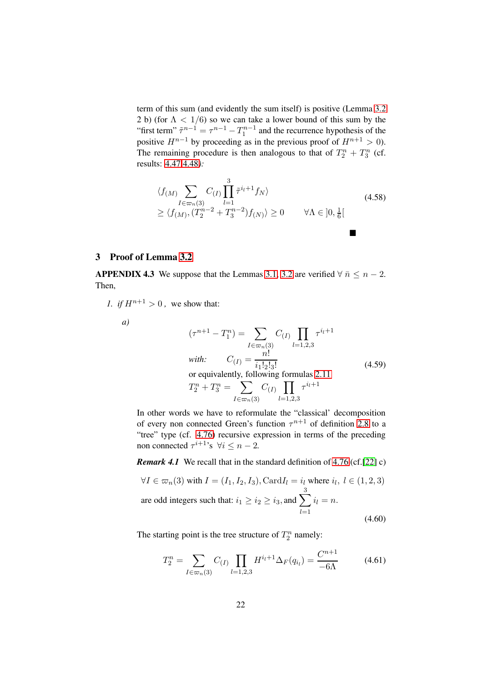term of this sum (and evidently the sum itself) is positive (Lemma [3.2](#page-10-0) 2 b) (for  $\Lambda < 1/6$ ) so we can take a lower bound of this sum by the "first term"  $\tilde{\tau}^{n-1} = \tau^{n-1} - T_1^{n-1}$  and the recurrence hypothesis of the positive  $H^{n-1}$  by proceeding as in the previous proof of  $H^{n+1} > 0$ ). The remaining procedure is then analogous to that of  $T_2^n + T_3^n$  (cf. results: [4.47](#page-20-0) [4.48](#page-20-1)*):*

$$
\langle f_{(M)} \sum_{I \in \varpi_n(3)} C_{(I)} \prod_{l=1}^{3} \tilde{\tau}^{i_l+1} f_N \rangle
$$
  
\n
$$
\geq \langle f_{(M)}, (T_2^{n-2} + T_3^{n-2}) f_{(N)} \rangle \geq 0 \qquad \forall \Lambda \in ]0, \frac{1}{6}[
$$
\n(4.58)

## <span id="page-23-1"></span><span id="page-23-0"></span>3 Proof of Lemma [3.2](#page-10-0)

APPENDIX 4.3 We suppose that the Lemmas [3.1,](#page-9-5) [3.2](#page-10-0) are verified  $\forall \bar{n} \leq n-2$ . Then,

*1. if*  $H^{n+1} > 0$ , we show that:

$$
a)
$$

<span id="page-23-3"></span>
$$
(\tau^{n+1} - T_1^n) = \sum_{I \in \varpi_n(3)} C_{(I)} \prod_{l=1,2,3} \tau^{i_l+1}
$$
  
\n*with:*  $C_{(I)} = \frac{n!}{i_1! 2! 3!}$   
\nor equivalently, following formulas 2.11  
\n $T_2^n + T_3^n = \sum_{I \in \varpi_n(3)} C_{(I)} \prod_{l=1,2,3} \tau^{i_l+1}$  (4.59)

In other words we have to reformulate the "classical' decomposition of every non connected Green's function  $\tau^{n+1}$  of definition [2.8](#page-7-1) to a "tree" type (cf. [4.76\)](#page-27-1) recursive expression in terms of the preceding non connected  $\tau^{i+1}$ 's  $\forall i \leq n-2$ .

*Remark 4.1* We recall that in the standard definition of [4.76](#page-27-1) (cf.[\[22\]](#page-15-3) c)

$$
\forall I \in \varpi_n(3) \text{ with } I = (I_1, I_2, I_3), \text{Card } I_l = i_l \text{ where } i_l, l \in (1, 2, 3)
$$
  
are odd integers such that:  $i_1 \ge i_2 \ge i_3$ , and  $\sum_{l=1}^3 i_l = n$ . (4.60)

The starting point is the tree structure of  $T_2^n$  namely:

<span id="page-23-2"></span>
$$
T_2^n = \sum_{I \in \varpi_n(3)} C_{(I)} \prod_{l=1,2,3} H^{i_l+1} \Delta_F(q_{i_l}) = \frac{C^{n+1}}{-6\Lambda}
$$
 (4.61)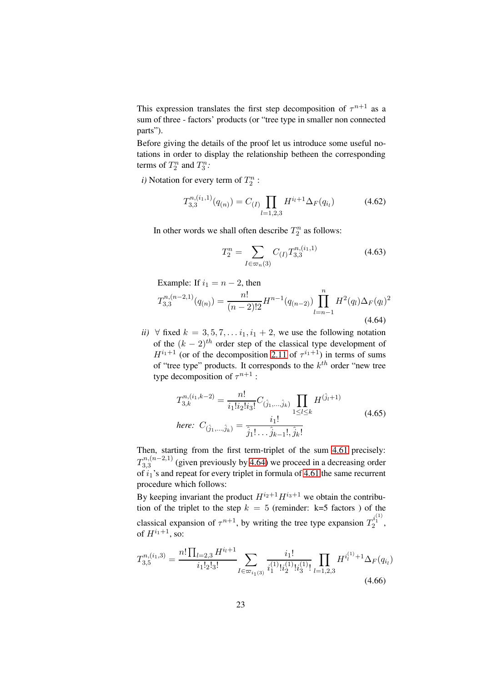This expression translates the first step decomposition of  $\tau^{n+1}$  as a sum of three - factors' products (or "tree type in smaller non connected parts").

Before giving the details of the proof let us introduce some useful notations in order to display the relationship betheen the corresponding terms of  $T_2^n$  and  $T_3^n$ :

*i*) Notation for every term of  $T_2^n$ :

$$
T_{3,3}^{n,(i_1,1)}(q_{(n)}) = C_{(I)} \prod_{l=1,2,3} H^{i_l+1} \Delta_F(q_{i_l})
$$
 (4.62)

In other words we shall often describe  $T_2^n$  as follows:

$$
T_2^n = \sum_{I \in \varpi_n(3)} C_{(I)} T_{3,3}^{n,(i_1,1)}
$$
(4.63)

Example: If  $i_1 = n - 2$ , then

<span id="page-24-0"></span>
$$
T_{3,3}^{n,(n-2,1)}(q_{(n)}) = \frac{n!}{(n-2)!2} H^{n-1}(q_{(n-2)}) \prod_{l=n-1}^{n} H^2(q_l) \Delta_F(q_l)^2
$$
\n(4.64)

*ii*)  $\forall$  fixed  $k = 3, 5, 7, \ldots i_1, i_1 + 2$ , we use the following notation of the  $(k - 2)^{th}$  order step of the classical type development of  $H^{i_1+1}$  (or of the decomposition [2.11](#page-8-0) of  $\tau^{i_1+1}$ ) in terms of sums of "tree type" products. It corresponds to the  $k<sup>th</sup>$  order "new tree type decomposition of  $\tau^{n+1}$  :

$$
T_{3,k}^{n,(i_1,k-2)} = \frac{n!}{i_1!i_2!i_3!}C_{(\hat{j}_1,...,\hat{j}_k)} \prod_{1 \le l \le k} H^{(\hat{j}_l+1)}
$$
  
here: 
$$
C_{(\hat{j}_1,...,\hat{j}_k)} = \frac{i_1!}{\hat{j}_1! \dots \hat{j}_{k-1}!, \hat{j}_k!}
$$
(4.65)

Then, starting from the first term-triplet of the sum [4.61](#page-23-2) precisely:  $T^{n,(n-2,1)}_{3.3}$  $3,3,3$  (given previously by [4.64\)](#page-24-0) we proceed in a decreasing order of  $i_1$ 's and repeat for every triplet in formula of [4.61](#page-23-2) the same recurrent procedure which follows:

By keeping invariant the product  $H^{i_2+1}H^{i_3+1}$  we obtain the contribution of the triplet to the step  $k = 5$  (reminder: k=5 factors ) of the classical expansion of  $\tau^{n+1}$ , by writing the tree type expansion  $T_2^{i_1^{(1)}}$ , of  $H^{i_1+1}$ , so:

$$
T_{3,5}^{n,(i_1,3)} = \frac{n! \prod_{l=2,3} H^{i_l+1}}{i_1!_2!_3!} \sum_{I \in \varpi_{i_1(3)}} \frac{i_1!}{i_1^{(1)}! i_2^{(1)}! i_3^{(1)}} \prod_{l=1,2,3} H^{i_l^{(1)}+1} \Delta_F(q_{i_l})
$$
\n
$$
(4.66)
$$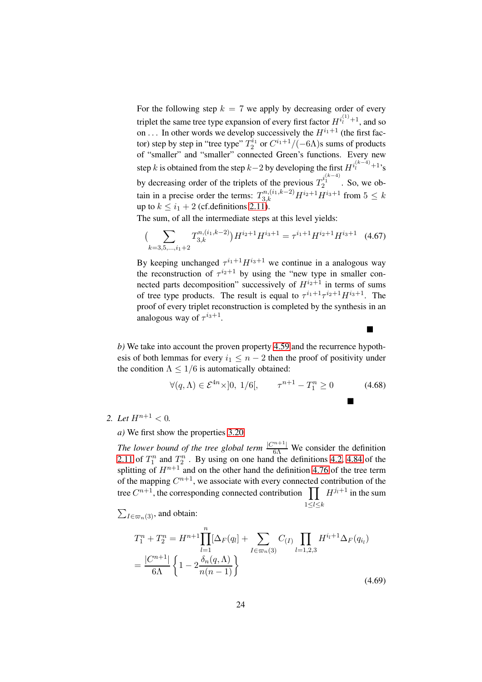For the following step  $k = 7$  we apply by decreasing order of every triplet the same tree type expansion of every first factor  $H^{i_1^{(1)}+1}$ , and so on ... In other words we develop successively the  $H^{i_1+1}$  (the first factor) step by step in "tree type"  $T_2^{i_1}$  or  $C^{i_1+1}/(-6\Lambda)$ s sums of products of "smaller" and "smaller" connected Green's functions. Every new step k is obtained from the step k–2 by developing the first  $H^{i_l^{(k-4)}+1}$ 's by decreasing order of the triplets of the previous  $T_2^{i_1^{(k-4)}}$ . So, we obtain in a precise order the terms:  $T_{3,k}^{n,(i_1,k-2)}H^{i_2+1}H^{i_3+1}$  from  $5 \leq k$ up to  $k \leq i_1 + 2$  (cf. definitions [2.11\)](#page-8-0).

The sum, of all the intermediate steps at this level yields:

$$
\left(\sum_{k=3,5,\dots,i_1+2} T_{3,k}^{n,(i_1,k-2)}\right) H^{i_2+1} H^{i_3+1} = \tau^{i_1+1} H^{i_2+1} H^{i_3+1} \quad (4.67)
$$

By keeping unchanged  $\tau^{i_1+1}H^{i_3+1}$  we continue in a analogous way the reconstruction of  $\tau^{i_2+1}$  by using the "new type in smaller connected parts decomposition" successively of  $H^{i_2+1}$  in terms of sums of tree type products. The result is equal to  $\tau^{i_1+1}\tau^{i_2+1}H^{i_3+1}$ . The proof of every triplet reconstruction is completed by the synthesis in an analogous way of  $\tau^{i_3+1}$ .

*b)* We take into account the proven property [4.59](#page-23-3) and the recurrence hypothesis of both lemmas for every  $i_1 \leq n-2$  then the proof of positivity under the condition  $\Lambda \leq 1/6$  is automatically obtained:

$$
\forall (q,\Lambda) \in \mathcal{E}^{4n} \times ]0, 1/6[, \qquad \tau^{n+1} - T_1^n \ge 0 \tag{4.68}
$$

П

2. Let  $H^{n+1} < 0$ .

*a)* We first show the properties [3.20](#page-10-2)*.*

*The lower bound of the tree global term*  $\frac{|C^{n+1}|}{6\Lambda}$  We consider the definition [2.11](#page-8-0) of  $T_1^n$  and  $T_2^n$ . By using on one hand the definitions [4.2,](#page-27-0) [4.84](#page-28-0) of the splitting of  $H^{n+1}$  and on the other hand the definition [4.76](#page-27-1) of the tree term of the mapping  $C^{n+1}$ , we associate with every connected contribution of the tree  $C^{n+1}$ , the corresponding connected contribution  $\prod H^{j_1+1}$  in the sum  $1\leq l\leq k$ 

 $\sum_{I \in \varpi_n(3)}$ , and obtain:

$$
T_1^n + T_2^n = H^{n+1} \prod_{l=1}^n [\Delta_F(q_l] + \sum_{I \in \varpi_n(3)} C_{(I)} \prod_{l=1,2,3} H^{i_l+1} \Delta_F(q_{i_l})
$$
  
= 
$$
\frac{|C^{n+1}|}{6\Lambda} \left\{ 1 - 2 \frac{\delta_n(q,\Lambda)}{n(n-1)} \right\}
$$
(4.69)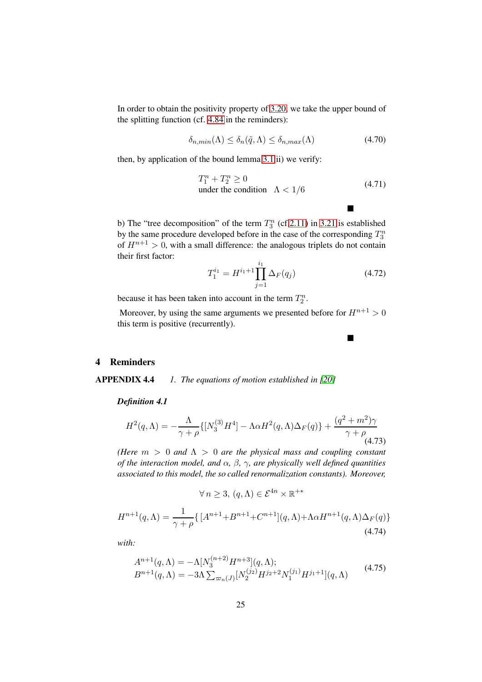In order to obtain the positivity property of [3.20,](#page-10-2) we take the upper bound of the splitting function (cf. [4.84](#page-28-0) in the reminders):

$$
\delta_{n,min}(\Lambda) \le \delta_n(\tilde{q}, \Lambda) \le \delta_{n,max}(\Lambda) \tag{4.70}
$$

then, by application of the bound lemma [3.1](#page-9-5) ii) we verify:

$$
T_1^n + T_2^n \ge 0
$$
  
under the condition  $\Lambda < 1/6$  (4.71)

 $\blacksquare$ 

п

b) The "tree decomposition" of the term  $T_3^n$  (cf[.2.11\)](#page-8-0) in [3.21](#page-10-3) is established by the same procedure developed before in the case of the corresponding  $T_3^n$ of  $H^{n+1} > 0$ , with a small difference: the analogous triplets do not contain their first factor:

$$
T_1^{i_1} = H^{i_1+1} \prod_{j=1}^{i_1} \Delta_F(q_j)
$$
 (4.72)

because it has been taken into account in the term  $T_2^n$ .

Moreover, by using the same arguments we presented before for  $H^{n+1} > 0$ this term is positive (recurrently).

### <span id="page-26-1"></span><span id="page-26-0"></span>4 Reminders

APPENDIX 4.4 *1. The equations of motion established in [\[20\]](#page-15-0)*

*Definition 4.1*

$$
H^{2}(q,\Lambda) = -\frac{\Lambda}{\gamma + \rho} \{ [N_{3}^{(3)}H^{4}] - \Lambda \alpha H^{2}(q,\Lambda)\Delta_{F}(q) \} + \frac{(q^{2} + m^{2})\gamma}{\gamma + \rho} \tag{4.73}
$$

*(Here* m > 0 *and* Λ > 0 *are the physical mass and coupling constant of the interaction model, and* α*,* β*,* γ*, are physically well defined quantities associated to this model, the so called renormalization constants). Moreover,*

$$
\forall n \ge 3, (q, \Lambda) \in \mathcal{E}^{4n} \times \mathbb{R}^{+*}
$$

$$
H^{n+1}(q, \Lambda) = \frac{1}{\gamma + \rho} \{ [A^{n+1} + B^{n+1} + C^{n+1}] (q, \Lambda) + \Lambda \alpha H^{n+1}(q, \Lambda) \Delta_F(q) \}
$$
(4.74)

*with:*

$$
A^{n+1}(q,\Lambda) = -\Lambda [N_3^{(n+2)} H^{n+3}](q,\Lambda);
$$
  
\n
$$
B^{n+1}(q,\Lambda) = -3\Lambda \sum_{\varpi_n(J)} [N_2^{(j_2)} H^{j_2+2} N_1^{(j_1)} H^{j_1+1}](q,\Lambda)
$$
\n(4.75)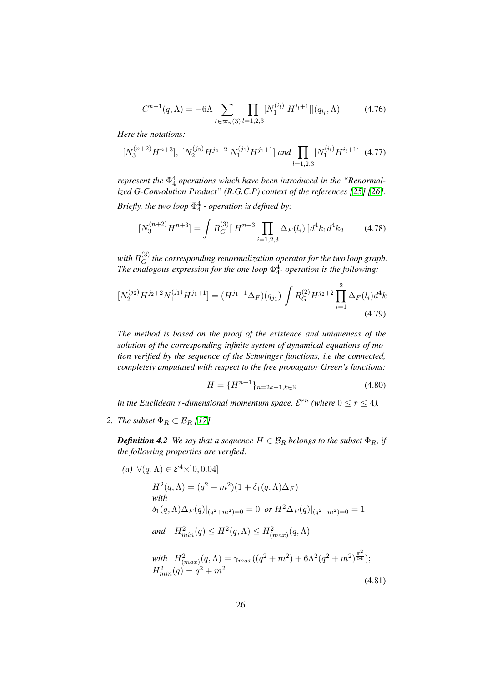<span id="page-27-1"></span>
$$
C^{n+1}(q,\Lambda) = -6\Lambda \sum_{I \in \varpi_n(3)} \prod_{l=1,2,3} [N_1^{(i_l)} | H^{i_l+1} | ](q_{i_l},\Lambda) \tag{4.76}
$$

*Here the notations:*

$$
[N_3^{(n+2)}H^{n+3}], [N_2^{(j_2)}H^{j_2+2} N_1^{(j_1)}H^{j_1+1}] \text{ and } \prod_{l=1,2,3} [N_1^{(i_l)}H^{i_l+1}] \tag{4.77}
$$

*represent the*  $\Phi_4^4$  *operations which have been introduced in the "Renormalized G-Convolution Product" (R.G.C.P) context of the references [\[25\]](#page-15-5) [\[26\]](#page-15-6). Briefly, the two loop* Φ 4 4 *- operation is defined by:*

$$
[N_3^{(n+2)}H^{n+3}] = \int R_G^{(3)}[H^{n+3}\prod_{i=1,2,3} \Delta_F(l_i)]d^4k_1d^4k_2 \tag{4.78}
$$

with  $R_G^{(3)}$  $G(G)$  the corresponding renormalization operator for the two loop graph. *The analogous expression for the one loop* Φ 4 4 *- operation is the following:*

$$
[N_2^{(j_2)}H^{j_2+2}N_1^{(j_1)}H^{j_1+1}] = (H^{j_1+1}\Delta_F)(q_{j_1}) \int R_G^{(2)}H^{j_2+2} \prod_{i=1}^2 \Delta_F(l_i)d^4k
$$
\n(4.79)

*The method is based on the proof of the existence and uniqueness of the solution of the corresponding infinite system of dynamical equations of motion verified by the sequence of the Schwinger functions, i.e the connected, completely amputated with respect to the free propagator Green's functions:*

<span id="page-27-0"></span>
$$
H = \{H^{n+1}\}_{n=2k+1,k\in\mathbb{N}}\tag{4.80}
$$

(4.81)

*in the Euclidean r-dimensional momentum space,*  $\mathcal{E}^{rn}$  *(where*  $0 \le r \le 4$ *).* 

*2. The subset*  $\Phi_R \subset \mathcal{B}_R$  [\[17\]](#page-14-5)

*Definition 4.2 We say that a sequence*  $H \in \mathcal{B}_R$  *belongs to the subset*  $\Phi_R$ *, if the following properties are verified:*

(a) 
$$
\forall (q, \Lambda) \in \mathcal{E}^4 \times ]0, 0.04]
$$
  
\n $H^2(q, \Lambda) = (q^2 + m^2)(1 + \delta_1(q, \Lambda)\Delta_F)$   
\nwith  
\n $\delta_1(q, \Lambda)\Delta_F(q)|_{(q^2 + m^2) = 0} = 0$  or  $H^2\Delta_F(q)|_{(q^2 + m^2) = 0} = 1$   
\nand  $H^2_{min}(q) \leq H^2(q, \Lambda) \leq H^2_{(max)}(q, \Lambda)$   
\nwith  $H^2_{(max)}(q, \Lambda) = \gamma_{max}((q^2 + m^2) + 6\Lambda^2(q^2 + m^2)\frac{\pi^2}{54});$   
\n $H^2_{min}(q) = q^2 + m^2$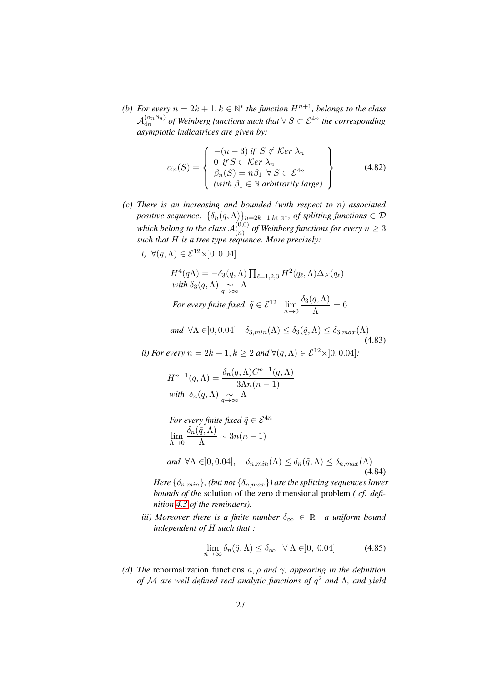*(b)* For every  $n = 2k + 1, k \in \mathbb{N}^*$  the function  $H^{n+1}$ , belongs to the class  $\mathcal{A}_{4n}^{(\alpha_n \beta_n)}$  $\frac{(\alpha_n \beta_n)}{4n}$  *of Weinberg functions such that*  $\forall S \subset \mathcal{E}^{4n}$  *the corresponding asymptotic indicatrices are given by:*

$$
\alpha_n(S) = \begin{cases}\n-(n-3) & \text{if } S \not\subset \text{Ker }\lambda_n \\
0 & \text{if } S \subset \text{Ker }\lambda_n \\
\beta_n(S) = n\beta_1 \ \forall \ S \subset \mathcal{E}^{4n} \\
(\text{with } \beta_1 \in \mathbb{N} \text{ arbitrarily large})\n\end{cases}
$$
\n(4.82)

*(c) There is an increasing and bounded (with respect to* n*) associated positive sequence:*  $\{\delta_n(q,\Lambda)\}_{n=2k+1,k\in\mathbb{N}^*}$ , *of splitting functions*  $\in \mathcal{D}$ which belong to the class  $\mathcal{A}_{(n)}^{(0,0)}$  $\binom{(0,0)}{(n)}$  of Weinberg functions for every  $n\geq 3$ *such that* H *is a tree type sequence. More precisely:*

$$
i) \ \forall (q, \Lambda) \in \mathcal{E}^{12} \times ]0, 0.04]
$$

$$
H^{4}(q\Lambda) = -\delta_{3}(q,\Lambda) \prod_{\ell=1,2,3} H^{2}(q_{\ell},\Lambda) \Delta_{F}(q_{\ell})
$$
  
with  $\delta_{3}(q,\Lambda) \sim \Lambda$   
For every finite fixed  $\tilde{q} \in \mathcal{E}^{12}$   $\lim_{\Lambda \to 0} \frac{\delta_{3}(\tilde{q},\Lambda)}{\Lambda} = 6$ 

and 
$$
\forall \Lambda \in ]0, 0.04]
$$
  $\delta_{3,min}(\Lambda) \leq \delta_3(\tilde{q}, \Lambda) \leq \delta_{3,max}(\Lambda)$  (4.83)

*ii) For every*  $n = 2k + 1, k \geq 2$  *and*  $\forall (q, \Lambda) \in \mathcal{E}^{12} \times ]0, 0.04]$ :

$$
H^{n+1}(q,\Lambda) = \frac{\delta_n(q,\Lambda)C^{n+1}(q,\Lambda)}{3\Lambda n(n-1)}
$$
  
with  $\delta_n(q,\Lambda) \underset{q\to\infty}{\sim} \Lambda$ 

<span id="page-28-0"></span>For every finite fixed 
$$
\tilde{q} \in \mathcal{E}^{4n}
$$
  
\n
$$
\lim_{\Lambda \to 0} \frac{\delta_n(\tilde{q}, \Lambda)}{\Lambda} \sim 3n(n-1)
$$

$$
and \ \forall \Lambda \in ]0, 0.04], \quad \delta_{n,min}(\Lambda) \le \delta_n(\tilde{q}, \Lambda) \le \delta_{n,max}(\Lambda)
$$
\n
$$
(4.84)
$$

*Here*  $\{\delta_{n,min}\}\$ *, (but not*  $\{\delta_{n,max}\}\$ *) are the splitting sequences lower bounds of the* solution of the zero dimensional problem *( cf. definition [4.3](#page-29-0) of the reminders).*

*iii)* Moreover there is a finite number  $\delta_{\infty} \in \mathbb{R}^+$  a uniform bound *independent of* H *such that :*

$$
\lim_{n \to \infty} \delta_n(\tilde{q}, \Lambda) \le \delta_\infty \quad \forall \ \Lambda \in ]0, \ 0.04] \tag{4.85}
$$

*(d) The* renormalization functions a, ρ *and* γ*, appearing in the definition of* M *are well defined real analytic functions of* q <sup>2</sup> *and* Λ*, and yield*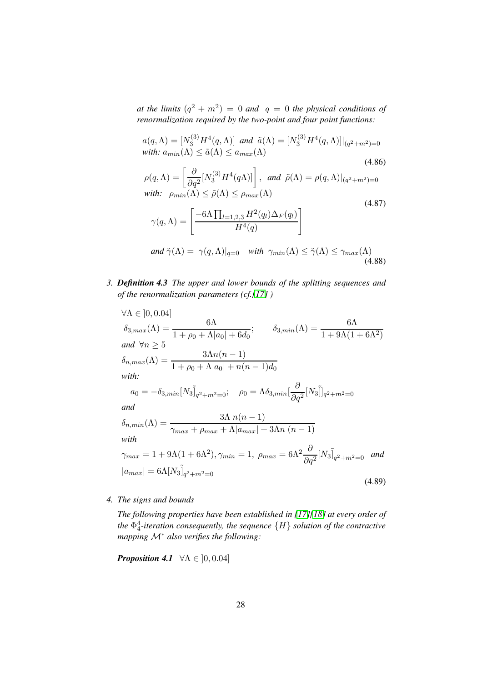*at the limits*  $(q^2 + m^2) = 0$  *and*  $q = 0$  *the physical conditions of renormalization required by the two-point and four point functions:*

$$
a(q, \Lambda) = [N_3^{(3)} H^4(q, \Lambda)] \text{ and } \tilde{a}(\Lambda) = [N_3^{(3)} H^4(q, \Lambda)]|_{(q^2 + m^2) = 0}
$$
  
\nwith:  $a_{min}(\Lambda) \leq \tilde{a}(\Lambda) \leq a_{max}(\Lambda)$   
\n
$$
\rho(q, \Lambda) = \left[\frac{\partial}{\partial q^2} [N_3^{(3)} H^4(q\Lambda)]\right], \text{ and } \tilde{\rho}(\Lambda) = \rho(q, \Lambda)|_{(q^2 + m^2) = 0}
$$
  
\nwith:  $\rho_{min}(\Lambda) \leq \tilde{\rho}(\Lambda) \leq \rho_{max}(\Lambda)$   
\n
$$
\gamma(q, \Lambda) = \left[\frac{-6\Lambda \prod_{l=1,2,3} H^2(q_l) \Delta_F(q_l)}{H^4(q)}\right]
$$
  
\nand  $\tilde{\gamma}(\Lambda) = \gamma(q, \Lambda)|_{q=0}$  with  $\gamma_{min}(\Lambda) \leq \tilde{\gamma}(\Lambda) \leq \gamma_{max}(\Lambda)$  (4.87)

(4.88)

<span id="page-29-0"></span>*3. Definition 4.3 The upper and lower bounds of the splitting sequences and of the renormalization parameters (cf.[\[17\]](#page-14-5) )*

$$
\forall \Lambda \in [0, 0.04]
$$
  
\n
$$
\delta_{3,max}(\Lambda) = \frac{6\Lambda}{1 + \rho_0 + \Lambda |a_0| + 6d_0}; \qquad \delta_{3,min}(\Lambda) = \frac{6\Lambda}{1 + 9\Lambda(1 + 6\Lambda^2)}
$$
  
\nand  $\forall n \ge 5$   
\n
$$
\delta_{n,max}(\Lambda) = \frac{3\Lambda n(n-1)}{1 + \rho_0 + \Lambda |a_0| + n(n-1)d_0}
$$
  
\nwith:  
\n
$$
a_0 = -\delta_{3,min} [N_3]_{q^2 + m^2 = 0}; \quad \rho_0 = \Lambda \delta_{3,min} [\frac{\partial}{\partial q^2} [N_3]_{q^2 + m^2 = 0}
$$
  
\nand  
\n
$$
\delta_{n,min}(\Lambda) = \frac{3\Lambda n(n-1)}{\gamma_{max} + \rho_{max} + \Lambda |a_{max}| + 3\Lambda n(n-1)}
$$
  
\nwith  
\n
$$
\gamma_{max} = 1 + 9\Lambda(1 + 6\Lambda^2), \gamma_{min} = 1, \ \rho_{max} = 6\Lambda^2 \frac{\partial}{\partial q^2} [N_3]_{q^2 + m^2 = 0} \quad \text{and}
$$
  
\n
$$
|a_{max}| = 6\Lambda [N_3]_{q^2 + m^2 = 0}
$$
\n(4.89)

*4. The signs and bounds*

*The following properties have been established in [\[17\]](#page-14-5)[\[18\]](#page-14-6) at every order of the* Φ 4 4 *-iteration consequently, the sequence* {H} *solution of the contractive mapping* M<sup>∗</sup> *also verifies the following:*

**Proposition 4.1** 
$$
\forall \Lambda \in [0, 0.04]
$$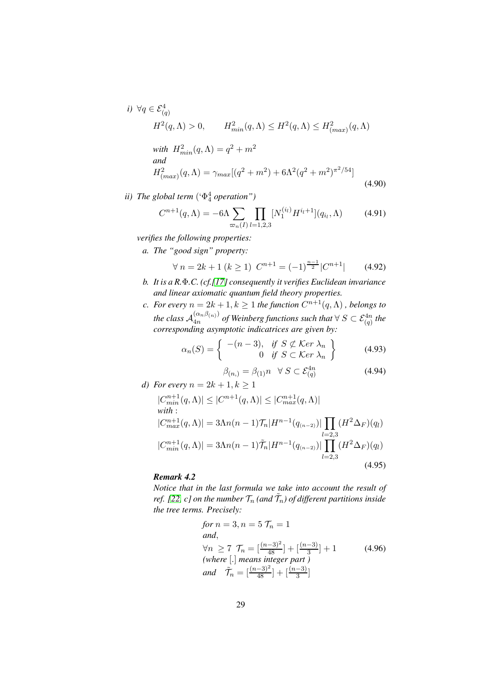*i)* 
$$
\forall q \in \mathcal{E}_{(q)}^4
$$
  
\n $H^2(q,\Lambda) > 0$ ,  $H_{min}^2(q,\Lambda) \le H^2(q,\Lambda) \le H_{(max)}^2(q,\Lambda)$ 

with 
$$
H_{min}^2(q, \Lambda) = q^2 + m^2
$$
  
and  
 $H_{(max)}^2(q, \Lambda) = \gamma_{max}[(q^2 + m^2) + 6\Lambda^2(q^2 + m^2)^{\pi^2/54}]$  (4.90)

*ii) The global term* ('Φ<sup>4</sup> 4 *operation")*

$$
C^{n+1}(q,\Lambda) = -6\Lambda \sum_{\varpi_n(I)} \prod_{l=1,2,3} [N_1^{(i_l)} H^{i_l+1}](q_{i_l}, \Lambda) \tag{4.91}
$$

*verifies the following properties:*

*a. The "good sign" property:*

$$
\forall n = 2k + 1 (k \ge 1) \ C^{n+1} = (-1)^{\frac{n-1}{2}} |C^{n+1}| \qquad (4.92)
$$

- *b. It is a R.*Φ*.C. (cf.[\[17\]](#page-14-5) consequently it verifies Euclidean invariance and linear axiomatic quantum field theory properties.*
- *c.* For every  $n = 2k + 1, k \ge 1$  the function  $C^{n+1}(q, \Lambda)$  , belongs to *the class*  $A_{4n}^{(\alpha_n,\beta_{(n)})}$  $\frac{(\alpha_n p_{(n)})}{4n}$  of Weinberg functions such that  $\forall S \subset \mathcal{E}_{(q)}^{4n}$  the *corresponding asymptotic indicatrices are given by:*

$$
\alpha_n(S) = \left\{ \begin{array}{cl} -(n-3), & \text{if } S \not\subset \text{Ker } \lambda_n \\ 0 & \text{if } S \subset \text{Ker } \lambda_n \end{array} \right\} \tag{4.93}
$$

$$
\beta_{(n,)} = \beta_{(1)}n \quad \forall \ S \subset \mathcal{E}_{(q)}^{4n} \tag{4.94}
$$

*d)* For every  $n = 2k + 1, k \ge 1$ 

<span id="page-30-0"></span>
$$
|C_{min}^{n+1}(q,\Lambda)| \leq |C^{n+1}(q,\Lambda)| \leq |C_{max}^{n+1}(q,\Lambda)|
$$
  
with:  

$$
|C_{max}^{n+1}(q,\Lambda)| = 3\Lambda n(n-1)\mathcal{T}_n|H^{n-1}(q_{(n-2)})| \prod_{l=2,3} (H^2\Delta_F)(q_l)
$$
  

$$
|C_{min}^{n+1}(q,\Lambda)| = 3\Lambda n(n-1)\tilde{\mathcal{T}}_n|H^{n-1}(q_{(n-2)})| \prod_{l=2,3} (H^2\Delta_F)(q_l)
$$
  
(4.95)

### *Remark 4.2*

*Notice that in the last formula we take into account the result of* ref. [\[22,](#page-15-3)  $c$ ] on the number  $\mathcal{T}_n$  (and  $\tilde{\mathcal{T}}_n$ ) of different partitions inside *the tree terms. Precisely:*

<span id="page-30-1"></span>for 
$$
n = 3, n = 5
$$
  $T_n = 1$   
\nand,  
\n $\forall n \ge 7$   $T_n = \left[\frac{(n-3)^2}{48}\right] + \left[\frac{(n-3)}{3}\right] + 1$  (4.96)  
\n(where  $[\,]$  means integer part)  
\nand  $\tilde{T}_n = \left[\frac{(n-3)^2}{48}\right] + \left[\frac{(n-3)}{3}\right]$